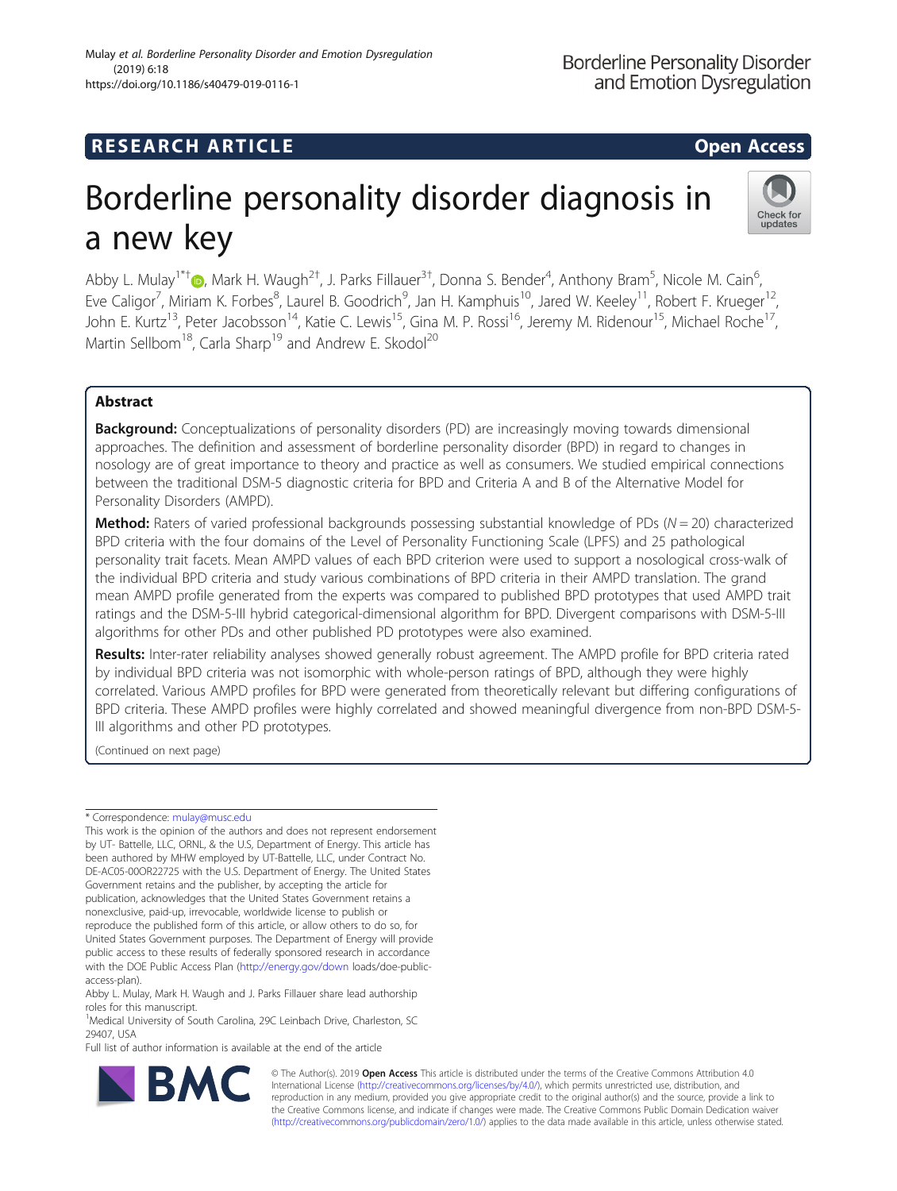## **RESEARCH ARTICLE Example 2014 12:30 The SEAR CH ACCESS**

# Borderline personality disorder diagnosis in a new key



Abby L. Mulay<sup>1\*†</sup>®[,](http://orcid.org/0000-0002-4521-9044) Mark H. Waugh<sup>2†</sup>, J. Parks Fillauer<sup>3†</sup>, Donna S. Bender<sup>4</sup>, Anthony Bram<sup>5</sup>, Nicole M. Cain<sup>6</sup> , Eve Caligor<sup>7</sup>, Miriam K. Forbes<sup>8</sup>, Laurel B. Goodrich<sup>9</sup>, Jan H. Kamphuis<sup>10</sup>, Jared W. Keeley<sup>11</sup>, Robert F. Krueger<sup>12</sup>, John E. Kurtz<sup>13</sup>, Peter Jacobsson<sup>14</sup>, Katie C. Lewis<sup>15</sup>, Gina M. P. Rossi<sup>16</sup>, Jeremy M. Ridenour<sup>15</sup>, Michael Roche<sup>17</sup>, Martin Sellbom<sup>18</sup>, Carla Sharp<sup>19</sup> and Andrew E. Skodol<sup>20</sup>

## Abstract

**Background:** Conceptualizations of personality disorders (PD) are increasingly moving towards dimensional approaches. The definition and assessment of borderline personality disorder (BPD) in regard to changes in nosology are of great importance to theory and practice as well as consumers. We studied empirical connections between the traditional DSM-5 diagnostic criteria for BPD and Criteria A and B of the Alternative Model for Personality Disorders (AMPD).

**Method:** Raters of varied professional backgrounds possessing substantial knowledge of PDs ( $N = 20$ ) characterized BPD criteria with the four domains of the Level of Personality Functioning Scale (LPFS) and 25 pathological personality trait facets. Mean AMPD values of each BPD criterion were used to support a nosological cross-walk of the individual BPD criteria and study various combinations of BPD criteria in their AMPD translation. The grand mean AMPD profile generated from the experts was compared to published BPD prototypes that used AMPD trait ratings and the DSM-5-III hybrid categorical-dimensional algorithm for BPD. Divergent comparisons with DSM-5-III algorithms for other PDs and other published PD prototypes were also examined.

Results: Inter-rater reliability analyses showed generally robust agreement. The AMPD profile for BPD criteria rated by individual BPD criteria was not isomorphic with whole-person ratings of BPD, although they were highly correlated. Various AMPD profiles for BPD were generated from theoretically relevant but differing configurations of BPD criteria. These AMPD profiles were highly correlated and showed meaningful divergence from non-BPD DSM-5- III algorithms and other PD prototypes.

(Continued on next page)

Full list of author information is available at the end of the article



© The Author(s). 2019 **Open Access** This article is distributed under the terms of the Creative Commons Attribution 4.0 International License [\(http://creativecommons.org/licenses/by/4.0/](http://creativecommons.org/licenses/by/4.0/)), which permits unrestricted use, distribution, and reproduction in any medium, provided you give appropriate credit to the original author(s) and the source, provide a link to the Creative Commons license, and indicate if changes were made. The Creative Commons Public Domain Dedication waiver [\(http://creativecommons.org/publicdomain/zero/1.0/](http://creativecommons.org/publicdomain/zero/1.0/)) applies to the data made available in this article, unless otherwise stated.

<sup>\*</sup> Correspondence: [mulay@musc.edu](mailto:mulay@musc.edu)

This work is the opinion of the authors and does not represent endorsement by UT- Battelle, LLC, ORNL, & the U.S, Department of Energy. This article has been authored by MHW employed by UT-Battelle, LLC, under Contract No. DE-AC05-00OR22725 with the U.S. Department of Energy. The United States Government retains and the publisher, by accepting the article for publication, acknowledges that the United States Government retains a nonexclusive, paid-up, irrevocable, worldwide license to publish or reproduce the published form of this article, or allow others to do so, for United States Government purposes. The Department of Energy will provide public access to these results of federally sponsored research in accordance with the DOE Public Access Plan [\(http://energy.gov/down](http://energy.gov/down) loads/doe-publicaccess-plan).

Abby L. Mulay, Mark H. Waugh and J. Parks Fillauer share lead authorship roles for this manuscript.

<sup>&</sup>lt;sup>1</sup>Medical University of South Carolina, 29C Leinbach Drive, Charleston, SC 29407, USA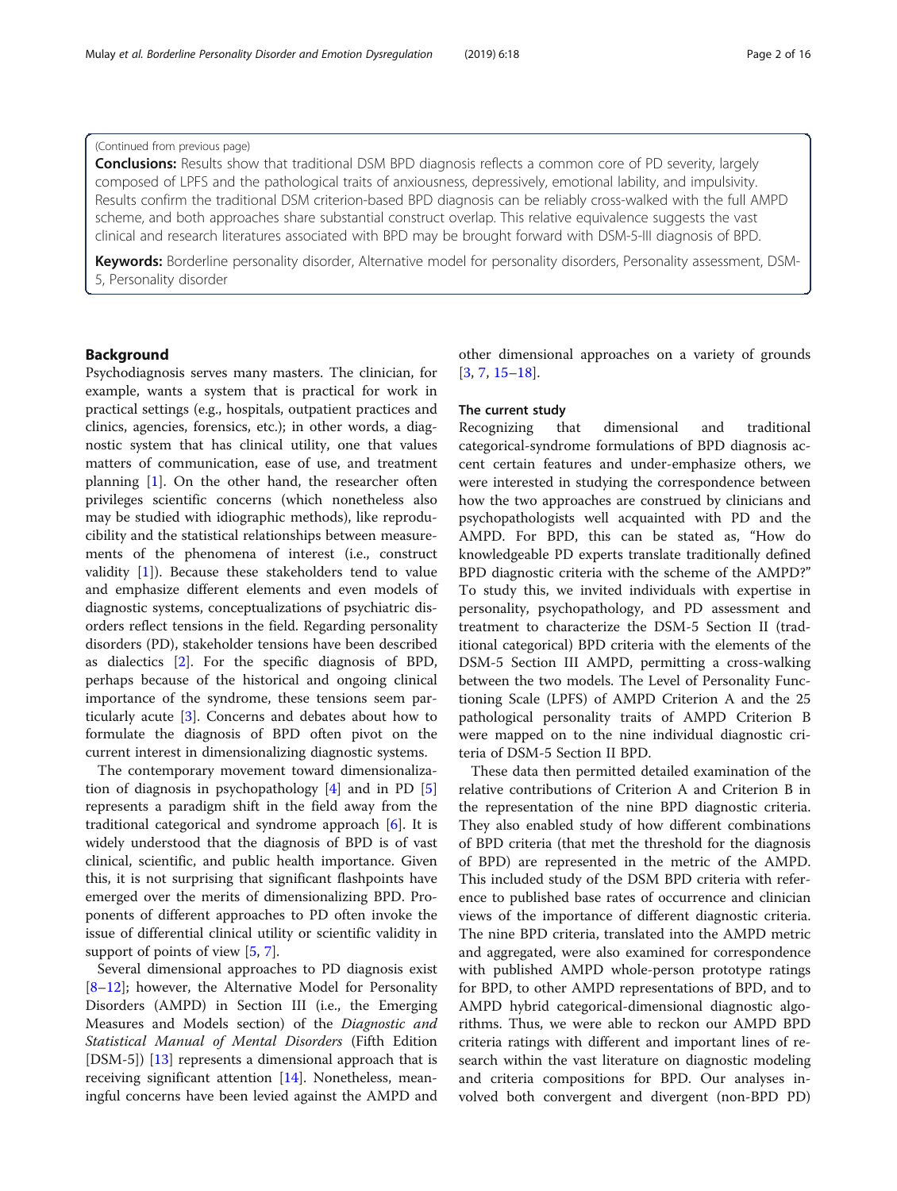## (Continued from previous page)

**Conclusions:** Results show that traditional DSM BPD diagnosis reflects a common core of PD severity, largely composed of LPFS and the pathological traits of anxiousness, depressively, emotional lability, and impulsivity. Results confirm the traditional DSM criterion-based BPD diagnosis can be reliably cross-walked with the full AMPD scheme, and both approaches share substantial construct overlap. This relative equivalence suggests the vast clinical and research literatures associated with BPD may be brought forward with DSM-5-III diagnosis of BPD.

Keywords: Borderline personality disorder, Alternative model for personality disorders, Personality assessment, DSM-5, Personality disorder

## Background

Psychodiagnosis serves many masters. The clinician, for example, wants a system that is practical for work in practical settings (e.g., hospitals, outpatient practices and clinics, agencies, forensics, etc.); in other words, a diagnostic system that has clinical utility, one that values matters of communication, ease of use, and treatment planning [\[1](#page-13-0)]. On the other hand, the researcher often privileges scientific concerns (which nonetheless also may be studied with idiographic methods), like reproducibility and the statistical relationships between measurements of the phenomena of interest (i.e., construct validity [\[1](#page-13-0)]). Because these stakeholders tend to value and emphasize different elements and even models of diagnostic systems, conceptualizations of psychiatric disorders reflect tensions in the field. Regarding personality disorders (PD), stakeholder tensions have been described as dialectics [\[2](#page-13-0)]. For the specific diagnosis of BPD, perhaps because of the historical and ongoing clinical importance of the syndrome, these tensions seem particularly acute [[3\]](#page-13-0). Concerns and debates about how to formulate the diagnosis of BPD often pivot on the current interest in dimensionalizing diagnostic systems.

The contemporary movement toward dimensionalization of diagnosis in psychopathology [[4\]](#page-13-0) and in PD [\[5](#page-14-0)] represents a paradigm shift in the field away from the traditional categorical and syndrome approach [\[6](#page-14-0)]. It is widely understood that the diagnosis of BPD is of vast clinical, scientific, and public health importance. Given this, it is not surprising that significant flashpoints have emerged over the merits of dimensionalizing BPD. Proponents of different approaches to PD often invoke the issue of differential clinical utility or scientific validity in support of points of view [[5](#page-14-0), [7](#page-14-0)].

Several dimensional approaches to PD diagnosis exist [[8](#page-14-0)–[12\]](#page-14-0); however, the Alternative Model for Personality Disorders (AMPD) in Section III (i.e., the Emerging Measures and Models section) of the Diagnostic and Statistical Manual of Mental Disorders (Fifth Edition [DSM-5]) [\[13](#page-14-0)] represents a dimensional approach that is receiving significant attention [[14](#page-14-0)]. Nonetheless, meaningful concerns have been levied against the AMPD and

other dimensional approaches on a variety of grounds [[3,](#page-13-0) [7,](#page-14-0) [15](#page-14-0)–[18](#page-14-0)].

## The current study

Recognizing that dimensional and traditional categorical-syndrome formulations of BPD diagnosis accent certain features and under-emphasize others, we were interested in studying the correspondence between how the two approaches are construed by clinicians and psychopathologists well acquainted with PD and the AMPD. For BPD, this can be stated as, "How do knowledgeable PD experts translate traditionally defined BPD diagnostic criteria with the scheme of the AMPD?" To study this, we invited individuals with expertise in personality, psychopathology, and PD assessment and treatment to characterize the DSM-5 Section II (traditional categorical) BPD criteria with the elements of the DSM-5 Section III AMPD, permitting a cross-walking between the two models. The Level of Personality Functioning Scale (LPFS) of AMPD Criterion A and the 25 pathological personality traits of AMPD Criterion B were mapped on to the nine individual diagnostic criteria of DSM-5 Section II BPD.

These data then permitted detailed examination of the relative contributions of Criterion A and Criterion B in the representation of the nine BPD diagnostic criteria. They also enabled study of how different combinations of BPD criteria (that met the threshold for the diagnosis of BPD) are represented in the metric of the AMPD. This included study of the DSM BPD criteria with reference to published base rates of occurrence and clinician views of the importance of different diagnostic criteria. The nine BPD criteria, translated into the AMPD metric and aggregated, were also examined for correspondence with published AMPD whole-person prototype ratings for BPD, to other AMPD representations of BPD, and to AMPD hybrid categorical-dimensional diagnostic algorithms. Thus, we were able to reckon our AMPD BPD criteria ratings with different and important lines of research within the vast literature on diagnostic modeling and criteria compositions for BPD. Our analyses involved both convergent and divergent (non-BPD PD)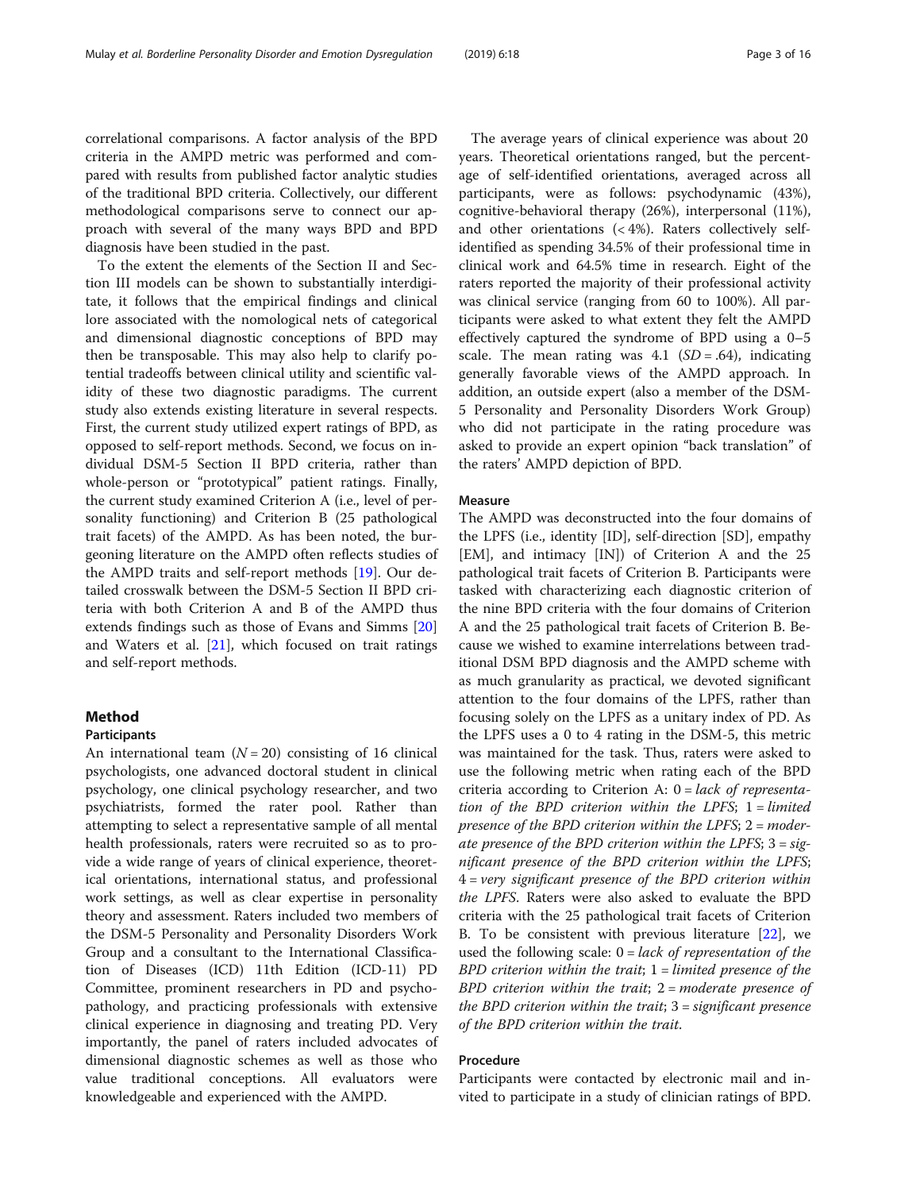correlational comparisons. A factor analysis of the BPD criteria in the AMPD metric was performed and compared with results from published factor analytic studies of the traditional BPD criteria. Collectively, our different methodological comparisons serve to connect our approach with several of the many ways BPD and BPD diagnosis have been studied in the past.

To the extent the elements of the Section II and Section III models can be shown to substantially interdigitate, it follows that the empirical findings and clinical lore associated with the nomological nets of categorical and dimensional diagnostic conceptions of BPD may then be transposable. This may also help to clarify potential tradeoffs between clinical utility and scientific validity of these two diagnostic paradigms. The current study also extends existing literature in several respects. First, the current study utilized expert ratings of BPD, as opposed to self-report methods. Second, we focus on individual DSM-5 Section II BPD criteria, rather than whole-person or "prototypical" patient ratings. Finally, the current study examined Criterion A (i.e., level of personality functioning) and Criterion B (25 pathological trait facets) of the AMPD. As has been noted, the burgeoning literature on the AMPD often reflects studies of the AMPD traits and self-report methods [[19\]](#page-14-0). Our detailed crosswalk between the DSM-5 Section II BPD criteria with both Criterion A and B of the AMPD thus extends findings such as those of Evans and Simms [[20](#page-14-0)] and Waters et al.  $[21]$  $[21]$ , which focused on trait ratings and self-report methods.

## Method

## Participants

An international team  $(N = 20)$  consisting of 16 clinical psychologists, one advanced doctoral student in clinical psychology, one clinical psychology researcher, and two psychiatrists, formed the rater pool. Rather than attempting to select a representative sample of all mental health professionals, raters were recruited so as to provide a wide range of years of clinical experience, theoretical orientations, international status, and professional work settings, as well as clear expertise in personality theory and assessment. Raters included two members of the DSM-5 Personality and Personality Disorders Work Group and a consultant to the International Classification of Diseases (ICD) 11th Edition (ICD-11) PD Committee, prominent researchers in PD and psychopathology, and practicing professionals with extensive clinical experience in diagnosing and treating PD. Very importantly, the panel of raters included advocates of dimensional diagnostic schemes as well as those who value traditional conceptions. All evaluators were knowledgeable and experienced with the AMPD.

The average years of clinical experience was about 20 years. Theoretical orientations ranged, but the percentage of self-identified orientations, averaged across all participants, were as follows: psychodynamic (43%), cognitive-behavioral therapy (26%), interpersonal (11%), and other orientations (< 4%). Raters collectively selfidentified as spending 34.5% of their professional time in clinical work and 64.5% time in research. Eight of the raters reported the majority of their professional activity was clinical service (ranging from 60 to 100%). All participants were asked to what extent they felt the AMPD effectively captured the syndrome of BPD using a 0–5 scale. The mean rating was  $4.1$  (SD = .64), indicating generally favorable views of the AMPD approach. In addition, an outside expert (also a member of the DSM-5 Personality and Personality Disorders Work Group) who did not participate in the rating procedure was asked to provide an expert opinion "back translation" of the raters' AMPD depiction of BPD.

## Measure

The AMPD was deconstructed into the four domains of the LPFS (i.e., identity [ID], self-direction [SD], empathy [EM], and intimacy [IN]) of Criterion A and the 25 pathological trait facets of Criterion B. Participants were tasked with characterizing each diagnostic criterion of the nine BPD criteria with the four domains of Criterion A and the 25 pathological trait facets of Criterion B. Because we wished to examine interrelations between traditional DSM BPD diagnosis and the AMPD scheme with as much granularity as practical, we devoted significant attention to the four domains of the LPFS, rather than focusing solely on the LPFS as a unitary index of PD. As the LPFS uses a 0 to 4 rating in the DSM-5, this metric was maintained for the task. Thus, raters were asked to use the following metric when rating each of the BPD criteria according to Criterion A:  $0 = lack$  of representation of the BPD criterion within the LPFS;  $1 =$  limited presence of the BPD criterion within the LPFS;  $2 =$  moderate presence of the BPD criterion within the LPFS;  $3 = sig$ nificant presence of the BPD criterion within the LPFS; 4 = very significant presence of the BPD criterion within the LPFS. Raters were also asked to evaluate the BPD criteria with the 25 pathological trait facets of Criterion B. To be consistent with previous literature [[22](#page-14-0)], we used the following scale:  $0 = lack of representation of the$  $BPD$  criterion within the trait;  $1 =$  limited presence of the  $BPD$  criterion within the trait;  $2=$  moderate presence of the BPD criterion within the trait; 3= significant presence of the BPD criterion within the trait.

## Procedure

Participants were contacted by electronic mail and invited to participate in a study of clinician ratings of BPD.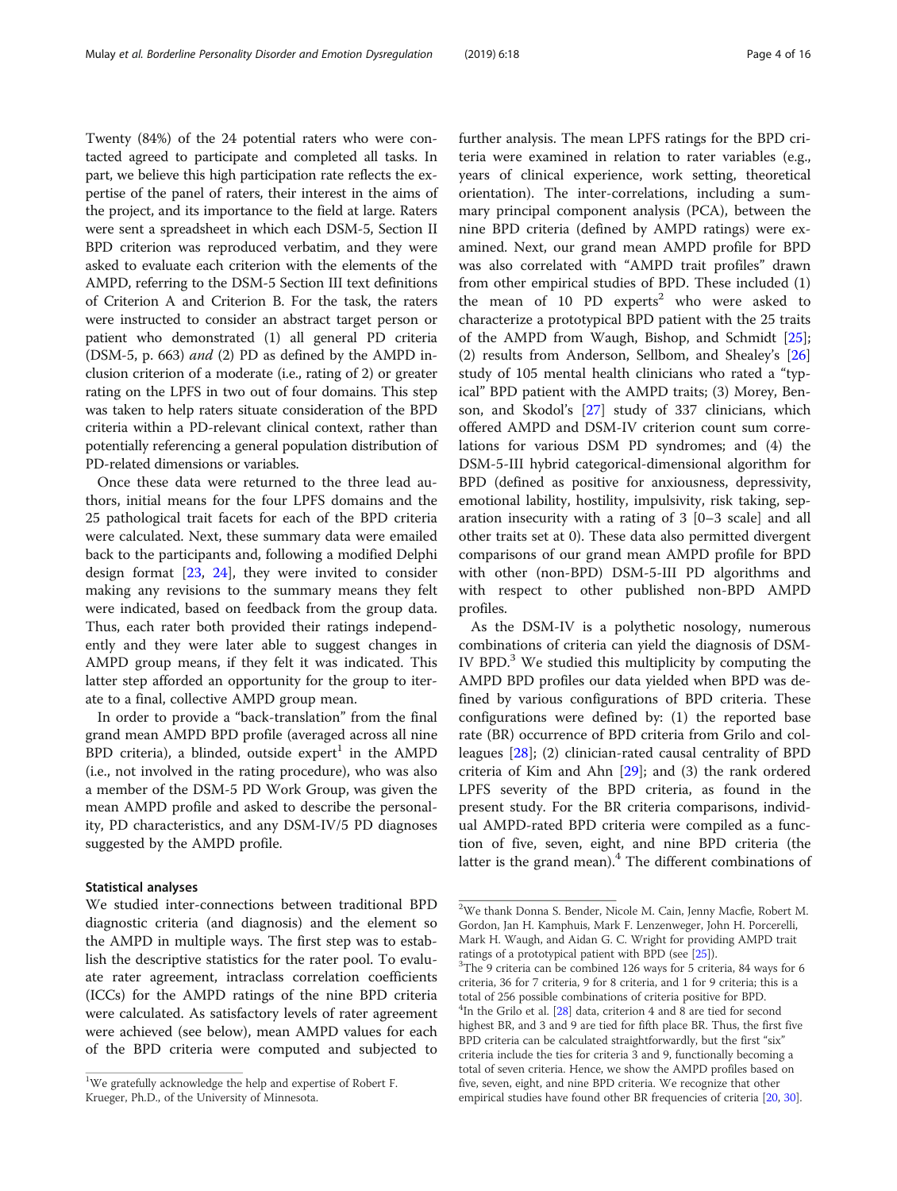Twenty (84%) of the 24 potential raters who were contacted agreed to participate and completed all tasks. In part, we believe this high participation rate reflects the expertise of the panel of raters, their interest in the aims of the project, and its importance to the field at large. Raters were sent a spreadsheet in which each DSM-5, Section II BPD criterion was reproduced verbatim, and they were asked to evaluate each criterion with the elements of the AMPD, referring to the DSM-5 Section III text definitions of Criterion A and Criterion B. For the task, the raters were instructed to consider an abstract target person or patient who demonstrated (1) all general PD criteria (DSM-5, p. 663) and (2) PD as defined by the AMPD inclusion criterion of a moderate (i.e., rating of 2) or greater rating on the LPFS in two out of four domains. This step was taken to help raters situate consideration of the BPD criteria within a PD-relevant clinical context, rather than potentially referencing a general population distribution of PD-related dimensions or variables.

Once these data were returned to the three lead authors, initial means for the four LPFS domains and the 25 pathological trait facets for each of the BPD criteria were calculated. Next, these summary data were emailed back to the participants and, following a modified Delphi design format [\[23,](#page-14-0) [24](#page-14-0)], they were invited to consider making any revisions to the summary means they felt were indicated, based on feedback from the group data. Thus, each rater both provided their ratings independently and they were later able to suggest changes in AMPD group means, if they felt it was indicated. This latter step afforded an opportunity for the group to iterate to a final, collective AMPD group mean.

In order to provide a "back-translation" from the final grand mean AMPD BPD profile (averaged across all nine BPD criteria), a blinded, outside  $expert<sup>1</sup>$  in the AMPD (i.e., not involved in the rating procedure), who was also a member of the DSM-5 PD Work Group, was given the mean AMPD profile and asked to describe the personality, PD characteristics, and any DSM-IV/5 PD diagnoses suggested by the AMPD profile.

## Statistical analyses

We studied inter-connections between traditional BPD diagnostic criteria (and diagnosis) and the element so the AMPD in multiple ways. The first step was to establish the descriptive statistics for the rater pool. To evaluate rater agreement, intraclass correlation coefficients (ICCs) for the AMPD ratings of the nine BPD criteria were calculated. As satisfactory levels of rater agreement were achieved (see below), mean AMPD values for each of the BPD criteria were computed and subjected to further analysis. The mean LPFS ratings for the BPD criteria were examined in relation to rater variables (e.g., years of clinical experience, work setting, theoretical orientation). The inter-correlations, including a summary principal component analysis (PCA), between the nine BPD criteria (defined by AMPD ratings) were examined. Next, our grand mean AMPD profile for BPD was also correlated with "AMPD trait profiles" drawn from other empirical studies of BPD. These included (1) the mean of  $10$  PD experts<sup>2</sup> who were asked to characterize a prototypical BPD patient with the 25 traits of the AMPD from Waugh, Bishop, and Schmidt [\[25](#page-14-0)]; (2) results from Anderson, Sellbom, and Shealey's [[26](#page-14-0)] study of 105 mental health clinicians who rated a "typical" BPD patient with the AMPD traits; (3) Morey, Benson, and Skodol's [\[27](#page-14-0)] study of 337 clinicians, which offered AMPD and DSM-IV criterion count sum correlations for various DSM PD syndromes; and (4) the DSM-5-III hybrid categorical-dimensional algorithm for BPD (defined as positive for anxiousness, depressivity, emotional lability, hostility, impulsivity, risk taking, separation insecurity with a rating of 3 [0–3 scale] and all other traits set at 0). These data also permitted divergent comparisons of our grand mean AMPD profile for BPD with other (non-BPD) DSM-5-III PD algorithms and with respect to other published non-BPD AMPD profiles.

As the DSM-IV is a polythetic nosology, numerous combinations of criteria can yield the diagnosis of DSM-IV BPD. $3$  We studied this multiplicity by computing the AMPD BPD profiles our data yielded when BPD was defined by various configurations of BPD criteria. These configurations were defined by: (1) the reported base rate (BR) occurrence of BPD criteria from Grilo and colleagues [\[28](#page-14-0)]; (2) clinician-rated causal centrality of BPD criteria of Kim and Ahn [\[29](#page-14-0)]; and (3) the rank ordered LPFS severity of the BPD criteria, as found in the present study. For the BR criteria comparisons, individual AMPD-rated BPD criteria were compiled as a function of five, seven, eight, and nine BPD criteria (the latter is the grand mean). $4$  The different combinations of

<sup>&</sup>lt;sup>1</sup>We gratefully acknowledge the help and expertise of Robert F. Krueger, Ph.D., of the University of Minnesota.

<sup>2</sup> We thank Donna S. Bender, Nicole M. Cain, Jenny Macfie, Robert M. Gordon, Jan H. Kamphuis, Mark F. Lenzenweger, John H. Porcerelli, Mark H. Waugh, and Aidan G. C. Wright for providing AMPD trait ratings of a prototypical patient with BPD (see [[25\]](#page-14-0)).

 $3$ The 9 criteria can be combined 126 ways for 5 criteria, 84 ways for 6 criteria, 36 for 7 criteria, 9 for 8 criteria, and 1 for 9 criteria; this is a total of 256 possible combinations of criteria positive for BPD. <sup>4</sup>In the Grilo et al. [[28\]](#page-14-0) data, criterion 4 and 8 are tied for second highest BR, and 3 and 9 are tied for fifth place BR. Thus, the first five BPD criteria can be calculated straightforwardly, but the first "six" criteria include the ties for criteria 3 and 9, functionally becoming a total of seven criteria. Hence, we show the AMPD profiles based on five, seven, eight, and nine BPD criteria. We recognize that other empirical studies have found other BR frequencies of criteria [[20,](#page-14-0) [30\]](#page-14-0).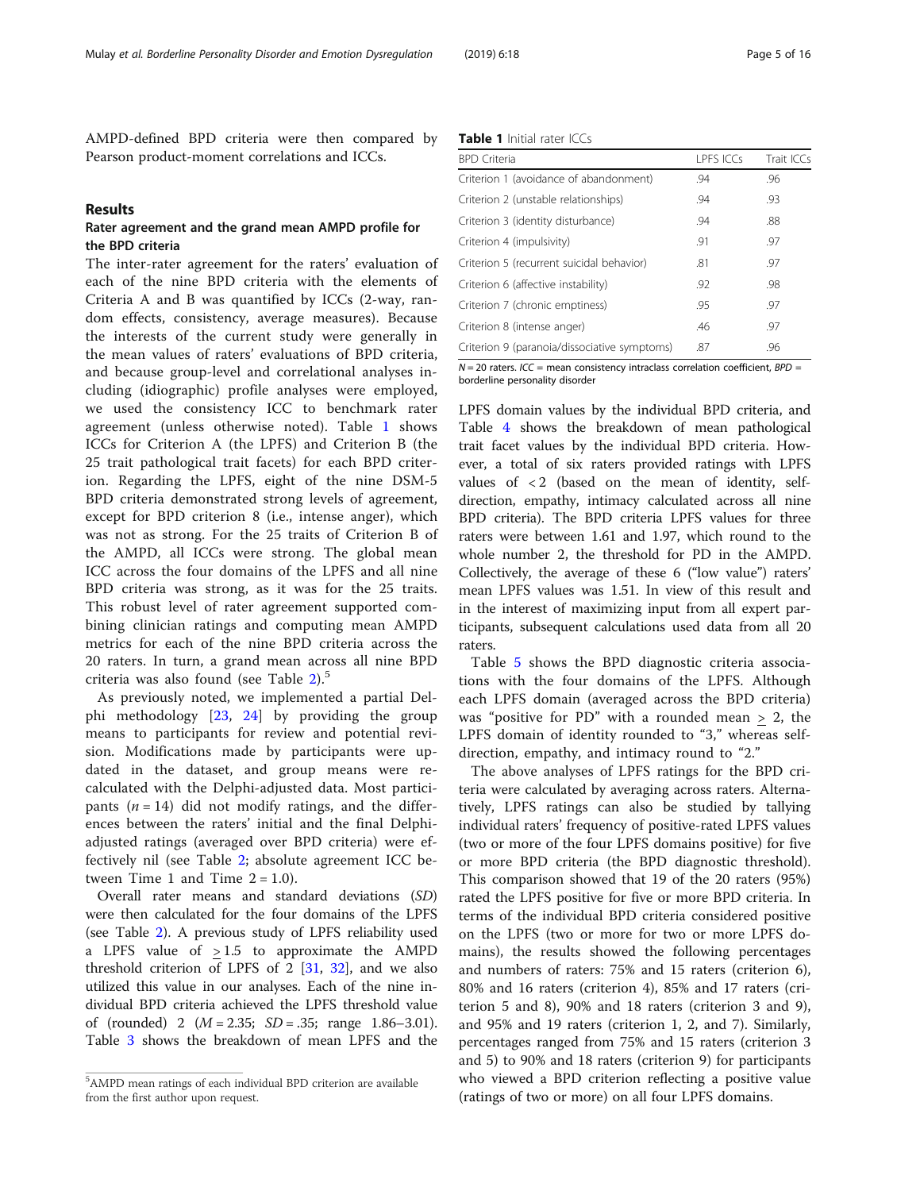AMPD-defined BPD criteria were then compared by Pearson product-moment correlations and ICCs.

### Results

## Rater agreement and the grand mean AMPD profile for the BPD criteria

The inter-rater agreement for the raters' evaluation of each of the nine BPD criteria with the elements of Criteria A and B was quantified by ICCs (2-way, random effects, consistency, average measures). Because the interests of the current study were generally in the mean values of raters' evaluations of BPD criteria, and because group-level and correlational analyses including (idiographic) profile analyses were employed, we used the consistency ICC to benchmark rater agreement (unless otherwise noted). Table 1 shows ICCs for Criterion A (the LPFS) and Criterion B (the 25 trait pathological trait facets) for each BPD criterion. Regarding the LPFS, eight of the nine DSM-5 BPD criteria demonstrated strong levels of agreement, except for BPD criterion 8 (i.e., intense anger), which was not as strong. For the 25 traits of Criterion B of the AMPD, all ICCs were strong. The global mean ICC across the four domains of the LPFS and all nine BPD criteria was strong, as it was for the 25 traits. This robust level of rater agreement supported combining clinician ratings and computing mean AMPD metrics for each of the nine BPD criteria across the 20 raters. In turn, a grand mean across all nine BPD criteria was also found (see Table [2](#page-5-0)).<sup>5</sup>

As previously noted, we implemented a partial Delphi methodology [[23,](#page-14-0) [24](#page-14-0)] by providing the group means to participants for review and potential revision. Modifications made by participants were updated in the dataset, and group means were recalculated with the Delphi-adjusted data. Most participants  $(n = 14)$  did not modify ratings, and the differences between the raters' initial and the final Delphiadjusted ratings (averaged over BPD criteria) were effectively nil (see Table [2](#page-5-0); absolute agreement ICC between Time 1 and Time  $2 = 1.0$ ).

Overall rater means and standard deviations (SD) were then calculated for the four domains of the LPFS (see Table [2](#page-5-0)). A previous study of LPFS reliability used a LPFS value of  $\geq 1.5$  to approximate the AMPD threshold criterion of LPFS of 2 [[31](#page-14-0), [32](#page-14-0)], and we also utilized this value in our analyses. Each of the nine individual BPD criteria achieved the LPFS threshold value of (rounded) 2  $(M = 2.35; SD = .35; range 1.86-3.01)$ . Table [3](#page-6-0) shows the breakdown of mean LPFS and the

| <b>Table 1</b> Initial rater ICCs |  |  |  |  |
|-----------------------------------|--|--|--|--|
|-----------------------------------|--|--|--|--|

| <b>BPD</b> Criteria                          | <b>LPFS ICCs</b> | Trait ICCs |
|----------------------------------------------|------------------|------------|
| Criterion 1 (avoidance of abandonment)       | .94              | .96        |
| Criterion 2 (unstable relationships)         | .94              | .93        |
| Criterion 3 (identity disturbance)           | .94              | .88        |
| Criterion 4 (impulsivity)                    | .91              | .97        |
| Criterion 5 (recurrent suicidal behavior)    | .81              | .97        |
| Criterion 6 (affective instability)          | .92              | .98        |
| Criterion 7 (chronic emptiness)              | .95              | .97        |
| Criterion 8 (intense anger)                  | .46              | .97        |
| Criterion 9 (paranoia/dissociative symptoms) | .87              | .96        |
|                                              |                  |            |

 $N = 20$  raters. ICC = mean consistency intraclass correlation coefficient, BPD = borderline personality disorder

LPFS domain values by the individual BPD criteria, and Table [4](#page-7-0) shows the breakdown of mean pathological trait facet values by the individual BPD criteria. However, a total of six raters provided ratings with LPFS values of  $\langle 2 \rangle$  (based on the mean of identity, selfdirection, empathy, intimacy calculated across all nine BPD criteria). The BPD criteria LPFS values for three raters were between 1.61 and 1.97, which round to the whole number 2, the threshold for PD in the AMPD. Collectively, the average of these 6 ("low value") raters' mean LPFS values was 1.51. In view of this result and in the interest of maximizing input from all expert participants, subsequent calculations used data from all 20 raters.

Table [5](#page-8-0) shows the BPD diagnostic criteria associations with the four domains of the LPFS. Although each LPFS domain (averaged across the BPD criteria) was "positive for PD" with a rounded mean > 2, the LPFS domain of identity rounded to "3," whereas selfdirection, empathy, and intimacy round to "2."

The above analyses of LPFS ratings for the BPD criteria were calculated by averaging across raters. Alternatively, LPFS ratings can also be studied by tallying individual raters' frequency of positive-rated LPFS values (two or more of the four LPFS domains positive) for five or more BPD criteria (the BPD diagnostic threshold). This comparison showed that 19 of the 20 raters (95%) rated the LPFS positive for five or more BPD criteria. In terms of the individual BPD criteria considered positive on the LPFS (two or more for two or more LPFS domains), the results showed the following percentages and numbers of raters: 75% and 15 raters (criterion 6), 80% and 16 raters (criterion 4), 85% and 17 raters (criterion 5 and 8), 90% and 18 raters (criterion 3 and 9), and 95% and 19 raters (criterion 1, 2, and 7). Similarly, percentages ranged from 75% and 15 raters (criterion 3 and 5) to 90% and 18 raters (criterion 9) for participants who viewed a BPD criterion reflecting a positive value (ratings of two or more) on all four LPFS domains.

<sup>5</sup> AMPD mean ratings of each individual BPD criterion are available from the first author upon request.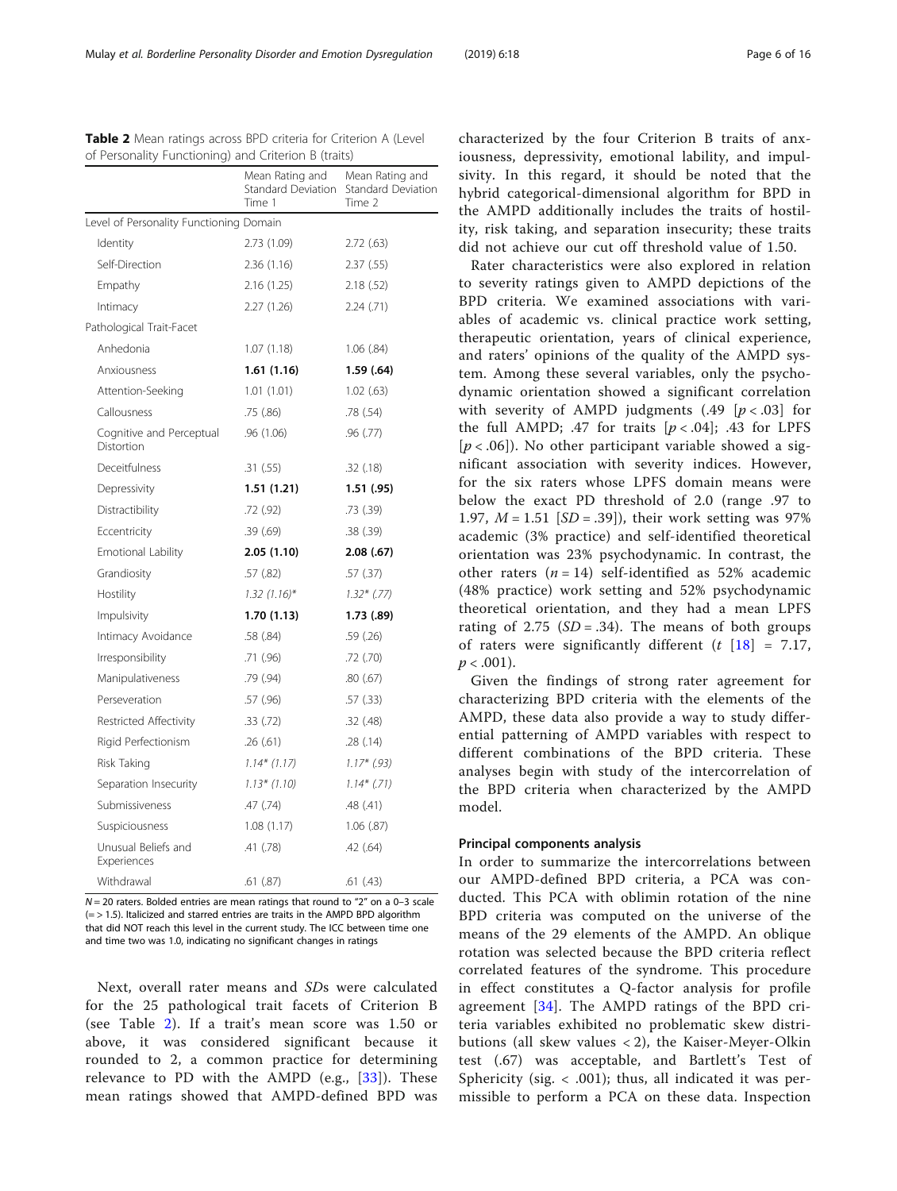$N = 20$  raters. Bolded entries are mean ratings that round to "2" on a 0-3 scale  $(=$   $>$  1.5). Italicized and starred entries are traits in the AMPD BPD algorithm that did NOT reach this level in the current study. The ICC between time one and time two was 1.0, indicating no significant changes in ratings

Withdrawal .61 (.87) .61 (.43)

.41 (.78) .42 (.64)

Unusual Beliefs and Experiences

Next, overall rater means and SDs were calculated for the 25 pathological trait facets of Criterion B (see Table 2). If a trait's mean score was 1.50 or above, it was considered significant because it rounded to 2, a common practice for determining relevance to PD with the AMPD (e.g., [[33\]](#page-14-0)). These mean ratings showed that AMPD-defined BPD was

characterized by the four Criterion B traits of anxiousness, depressivity, emotional lability, and impulsivity. In this regard, it should be noted that the hybrid categorical-dimensional algorithm for BPD in the AMPD additionally includes the traits of hostility, risk taking, and separation insecurity; these traits did not achieve our cut off threshold value of 1.50.

Rater characteristics were also explored in relation to severity ratings given to AMPD depictions of the BPD criteria. We examined associations with variables of academic vs. clinical practice work setting, therapeutic orientation, years of clinical experience, and raters' opinions of the quality of the AMPD system. Among these several variables, only the psychodynamic orientation showed a significant correlation with severity of AMPD judgments (.49  $[p < .03]$  for the full AMPD; .47 for traits  $[p < .04]$ ; .43 for LPFS  $[p < .06]$ ). No other participant variable showed a significant association with severity indices. However, for the six raters whose LPFS domain means were below the exact PD threshold of 2.0 (range .97 to 1.97,  $M = 1.51$  [SD = .39]), their work setting was 97% academic (3% practice) and self-identified theoretical orientation was 23% psychodynamic. In contrast, the other raters  $(n = 14)$  self-identified as 52% academic (48% practice) work setting and 52% psychodynamic theoretical orientation, and they had a mean LPFS rating of 2.75 ( $SD = .34$ ). The means of both groups of raters were significantly different  $(t \mid 18] = 7.17$ ,  $p < .001$ ).

Given the findings of strong rater agreement for characterizing BPD criteria with the elements of the AMPD, these data also provide a way to study differential patterning of AMPD variables with respect to different combinations of the BPD criteria. These analyses begin with study of the intercorrelation of the BPD criteria when characterized by the AMPD model.

## Principal components analysis

In order to summarize the intercorrelations between our AMPD-defined BPD criteria, a PCA was conducted. This PCA with oblimin rotation of the nine BPD criteria was computed on the universe of the means of the 29 elements of the AMPD. An oblique rotation was selected because the BPD criteria reflect correlated features of the syndrome. This procedure in effect constitutes a Q-factor analysis for profile agreement [\[34\]](#page-14-0). The AMPD ratings of the BPD criteria variables exhibited no problematic skew distributions (all skew values < 2), the Kaiser-Meyer-Olkin test (.67) was acceptable, and Bartlett's Test of Sphericity (sig.  $\langle .001 \rangle$ ; thus, all indicated it was permissible to perform a PCA on these data. Inspection

|                                         | Mean Rating and<br>Standard Deviation<br>Time 1 | Mean Rating and<br><b>Standard Deviation</b><br>Time 2 |
|-----------------------------------------|-------------------------------------------------|--------------------------------------------------------|
| Level of Personality Functioning Domain |                                                 |                                                        |
| Identity                                | 2.73 (1.09)                                     | 2.72(63)                                               |
| Self-Direction                          | 2.36(1.16)                                      | 2.37(55)                                               |
| Empathy                                 | 2.16(1.25)                                      | 2.18(.52)                                              |
| Intimacy                                | 2.27 (1.26)                                     | 2.24(.71)                                              |
| Pathological Trait-Facet                |                                                 |                                                        |
| Anhedonia                               | 1.07(1.18)                                      | 1.06(.84)                                              |
| Anxiousness                             | 1.61(1.16)                                      | 1.59(0.64)                                             |
| Attention-Seeking                       | 1.01(1.01)                                      | 1.02(63)                                               |
| Callousness                             | .75(.86)                                        | .78(.54)                                               |
| Cognitive and Perceptual<br>Distortion  | .96(1.06)                                       | .96(.77)                                               |
| Deceitfulness                           | .31(.55)                                        | .32(.18)                                               |
| Depressivity                            | 1.51(1.21)                                      | 1.51(.95)                                              |
| Distractibility                         | .72(.92)                                        | .73 (.39)                                              |
| Eccentricity                            | .39(.69)                                        | .38(.39)                                               |
| Emotional Lability                      | 2.05(1.10)                                      | 2.08(.67)                                              |
| Grandiosity                             | .57(.82)                                        | .57(.37)                                               |
| Hostility                               | $1.32(1.16)^{*}$                                | $1.32*$ (.77)                                          |
| Impulsivity                             | 1.70(1.13)                                      | 1.73(.89)                                              |
| Intimacy Avoidance                      | .58 (.84)                                       | .59 (.26)                                              |
| Irresponsibility                        | .71(.96)                                        | .72(.70)                                               |
| Manipulativeness                        | .79(.94)                                        | .80(.67)                                               |
| Perseveration                           | .57(.96)                                        | .57(.33)                                               |
| Restricted Affectivity                  | .33(.72)                                        | .32(.48)                                               |
| Rigid Perfectionism                     | .26(.61)                                        | .28(.14)                                               |
| Risk Taking                             | $1.14*(1.17)$                                   | $1.17*$ (.93)                                          |
| Separation Insecurity                   | $1.13*(1.10)$                                   | $1.14*$ (.71)                                          |
| Submissiveness                          | .47 (.74)                                       | .48 (.41)                                              |
| Suspiciousness                          | 1.08(1.17)                                      | $1.06$ $(.87)$                                         |

<span id="page-5-0"></span>Table 2 Mean ratings across BPD criteria for Criterion A (Level

of Personality Functioning) and Criterion B (traits)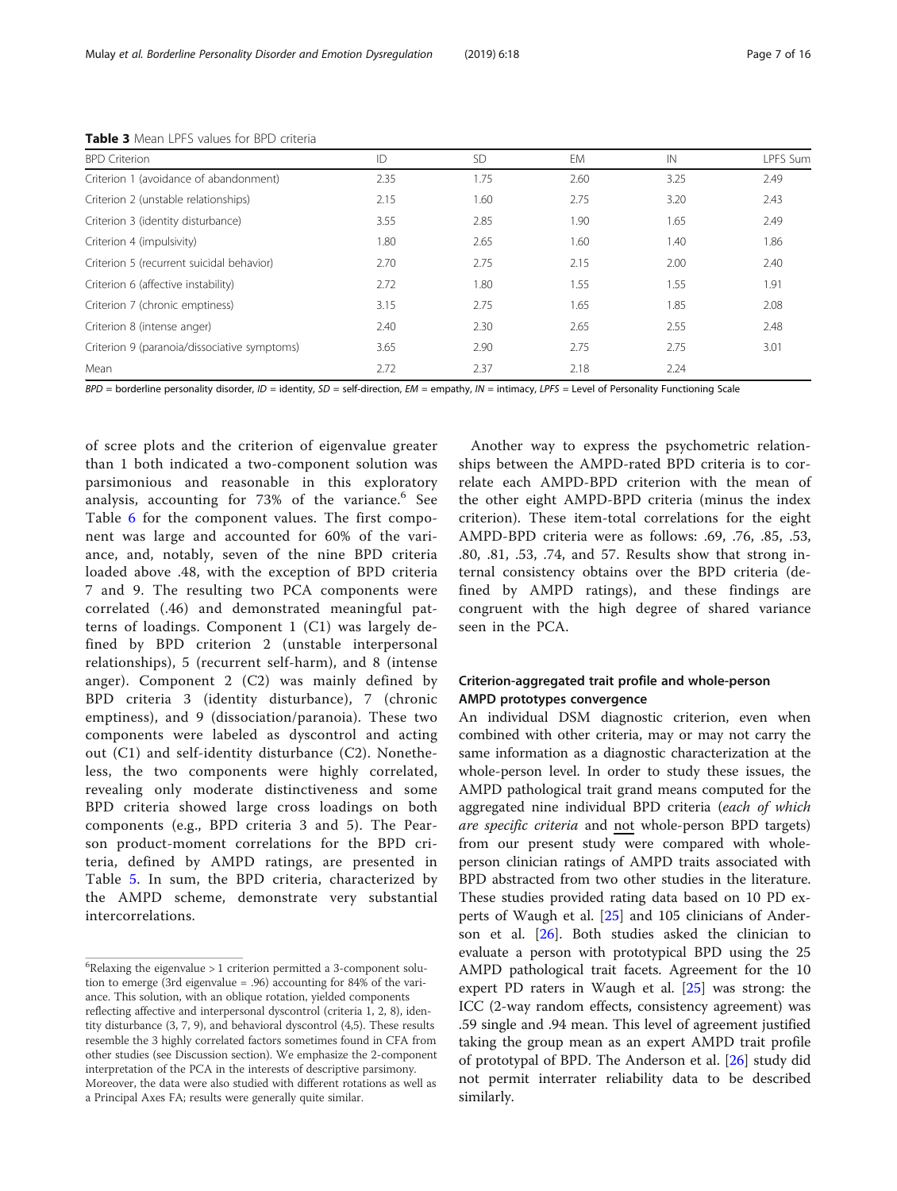| <b>BPD</b> Criterion                         | ID   | <b>SD</b> | EM   | IN   | <b>LPFS Sum</b> |
|----------------------------------------------|------|-----------|------|------|-----------------|
| Criterion 1 (avoidance of abandonment)       | 2.35 | 1.75      | 2.60 | 3.25 | 2.49            |
| Criterion 2 (unstable relationships)         | 2.15 | 1.60      | 2.75 | 3.20 | 2.43            |
| Criterion 3 (identity disturbance)           | 3.55 | 2.85      | 1.90 | 1.65 | 2.49            |
| Criterion 4 (impulsivity)                    | 1.80 | 2.65      | 1.60 | 1.40 | 1.86            |
| Criterion 5 (recurrent suicidal behavior)    | 2.70 | 2.75      | 2.15 | 2.00 | 2.40            |
| Criterion 6 (affective instability)          | 2.72 | 1.80      | 1.55 | 1.55 | 1.91            |
| Criterion 7 (chronic emptiness)              | 3.15 | 2.75      | 1.65 | 1.85 | 2.08            |
| Criterion 8 (intense anger)                  | 2.40 | 2.30      | 2.65 | 2.55 | 2.48            |
| Criterion 9 (paranoia/dissociative symptoms) | 3.65 | 2.90      | 2.75 | 2.75 | 3.01            |
| Mean                                         | 2.72 | 2.37      | 2.18 | 2.24 |                 |

<span id="page-6-0"></span>Table 3 Mean LPFS values for BPD criteria

 $BPD =$  borderline personality disorder,  $ID =$  identity,  $SD =$  self-direction,  $EM =$  empathy,  $IN =$  intimacy,  $LPFS =$  Level of Personality Functioning Scale

of scree plots and the criterion of eigenvalue greater than 1 both indicated a two-component solution was parsimonious and reasonable in this exploratory analysis, accounting for 73% of the variance.<sup>6</sup> See Table [6](#page-9-0) for the component values. The first component was large and accounted for 60% of the variance, and, notably, seven of the nine BPD criteria loaded above .48, with the exception of BPD criteria 7 and 9. The resulting two PCA components were correlated (.46) and demonstrated meaningful patterns of loadings. Component 1 (C1) was largely defined by BPD criterion 2 (unstable interpersonal relationships), 5 (recurrent self-harm), and 8 (intense anger). Component 2 (C2) was mainly defined by BPD criteria 3 (identity disturbance), 7 (chronic emptiness), and 9 (dissociation/paranoia). These two components were labeled as dyscontrol and acting out (C1) and self-identity disturbance (C2). Nonetheless, the two components were highly correlated, revealing only moderate distinctiveness and some BPD criteria showed large cross loadings on both components (e.g., BPD criteria 3 and 5). The Pearson product-moment correlations for the BPD criteria, defined by AMPD ratings, are presented in Table [5.](#page-8-0) In sum, the BPD criteria, characterized by the AMPD scheme, demonstrate very substantial intercorrelations.

Another way to express the psychometric relationships between the AMPD-rated BPD criteria is to correlate each AMPD-BPD criterion with the mean of the other eight AMPD-BPD criteria (minus the index criterion). These item-total correlations for the eight AMPD-BPD criteria were as follows: .69, .76, .85, .53, .80, .81, .53, .74, and 57. Results show that strong internal consistency obtains over the BPD criteria (defined by AMPD ratings), and these findings are congruent with the high degree of shared variance seen in the PCA.

## Criterion-aggregated trait profile and whole-person AMPD prototypes convergence

An individual DSM diagnostic criterion, even when combined with other criteria, may or may not carry the same information as a diagnostic characterization at the whole-person level. In order to study these issues, the AMPD pathological trait grand means computed for the aggregated nine individual BPD criteria (each of which are specific criteria and not whole-person BPD targets) from our present study were compared with wholeperson clinician ratings of AMPD traits associated with BPD abstracted from two other studies in the literature. These studies provided rating data based on 10 PD experts of Waugh et al. [\[25](#page-14-0)] and 105 clinicians of Anderson et al. [\[26](#page-14-0)]. Both studies asked the clinician to evaluate a person with prototypical BPD using the 25 AMPD pathological trait facets. Agreement for the 10 expert PD raters in Waugh et al. [[25\]](#page-14-0) was strong: the ICC (2-way random effects, consistency agreement) was .59 single and .94 mean. This level of agreement justified taking the group mean as an expert AMPD trait profile of prototypal of BPD. The Anderson et al. [\[26](#page-14-0)] study did not permit interrater reliability data to be described similarly.

 $6$ Relaxing the eigenvalue > 1 criterion permitted a 3-component solution to emerge (3rd eigenvalue = .96) accounting for 84% of the variance. This solution, with an oblique rotation, yielded components reflecting affective and interpersonal dyscontrol (criteria 1, 2, 8), identity disturbance (3, 7, 9), and behavioral dyscontrol (4,5). These results resemble the 3 highly correlated factors sometimes found in CFA from other studies (see Discussion section). We emphasize the 2-component interpretation of the PCA in the interests of descriptive parsimony. Moreover, the data were also studied with different rotations as well as a Principal Axes FA; results were generally quite similar.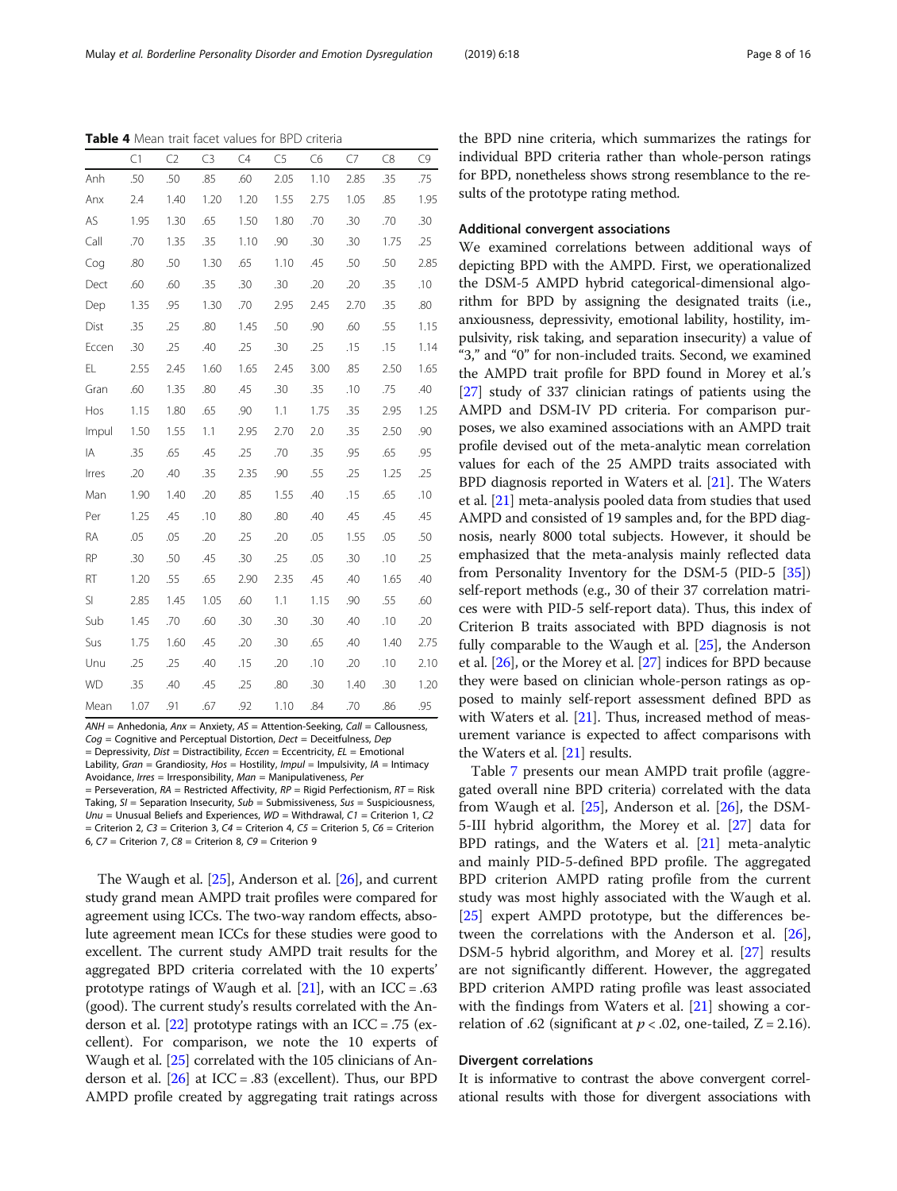$AMH =$  Anhedonia,  $Anx =$  Anxiety,  $AS =$  Attention-Seeking, Call = Callousness,  $Cog =$  Cognitive and Perceptual Distortion, Dect = Deceitfulness, Dep  $=$  Depressivity, Dist = Distractibility, Eccen = Eccentricity, EL = Emotional Lability, Gran = Grandiosity, Hos = Hostility, Impul = Impulsivity, IA = Intimacy

Avoidance, Irres = Irresponsibility, Man = Manipulativeness, Per = Perseveration,  $RA$  = Restricted Affectivity,  $RP$  = Rigid Perfectionism,  $RT$  = Risk Taking,  $SI =$  Separation Insecurity,  $Sub =$  Submissiveness,  $Sus =$  Suspiciousness, Unu = Unusual Beliefs and Experiences,  $WD =$  Withdrawal,  $CI =$  Criterion 1, C2 = Criterion 2,  $C3$  = Criterion 3,  $C4$  = Criterion 4,  $C5$  = Criterion 5,  $C6$  = Criterion 6,  $C7$  = Criterion 7,  $C8$  = Criterion 8,  $C9$  = Criterion 9

The Waugh et al. [[25](#page-14-0)], Anderson et al. [[26](#page-14-0)], and current study grand mean AMPD trait profiles were compared for agreement using ICCs. The two-way random effects, absolute agreement mean ICCs for these studies were good to excellent. The current study AMPD trait results for the aggregated BPD criteria correlated with the 10 experts' prototype ratings of Waugh et al.  $[21]$ , with an ICC = .63 (good). The current study's results correlated with the Anderson et al. [[22](#page-14-0)] prototype ratings with an ICC = .75 (excellent). For comparison, we note the 10 experts of Waugh et al. [\[25](#page-14-0)] correlated with the 105 clinicians of Anderson et al.  $[26]$  $[26]$  $[26]$  at ICC = .83 (excellent). Thus, our BPD AMPD profile created by aggregating trait ratings across the BPD nine criteria, which summarizes the ratings for individual BPD criteria rather than whole-person ratings for BPD, nonetheless shows strong resemblance to the results of the prototype rating method.

## Additional convergent associations

We examined correlations between additional ways of depicting BPD with the AMPD. First, we operationalized the DSM-5 AMPD hybrid categorical-dimensional algorithm for BPD by assigning the designated traits (i.e., anxiousness, depressivity, emotional lability, hostility, impulsivity, risk taking, and separation insecurity) a value of "3," and "0" for non-included traits. Second, we examined the AMPD trait profile for BPD found in Morey et al.'s [[27](#page-14-0)] study of 337 clinician ratings of patients using the AMPD and DSM-IV PD criteria. For comparison purposes, we also examined associations with an AMPD trait profile devised out of the meta-analytic mean correlation values for each of the 25 AMPD traits associated with BPD diagnosis reported in Waters et al. [\[21](#page-14-0)]. The Waters et al. [\[21\]](#page-14-0) meta-analysis pooled data from studies that used AMPD and consisted of 19 samples and, for the BPD diagnosis, nearly 8000 total subjects. However, it should be emphasized that the meta-analysis mainly reflected data from Personality Inventory for the DSM-5 (PID-5 [[35](#page-14-0)]) self-report methods (e.g., 30 of their 37 correlation matrices were with PID-5 self-report data). Thus, this index of Criterion B traits associated with BPD diagnosis is not fully comparable to the Waugh et al. [\[25\]](#page-14-0), the Anderson et al. [\[26\]](#page-14-0), or the Morey et al. [[27](#page-14-0)] indices for BPD because they were based on clinician whole-person ratings as opposed to mainly self-report assessment defined BPD as with Waters et al. [\[21\]](#page-14-0). Thus, increased method of measurement variance is expected to affect comparisons with the Waters et al. [\[21\]](#page-14-0) results.

Table [7](#page-9-0) presents our mean AMPD trait profile (aggregated overall nine BPD criteria) correlated with the data from Waugh et al. [[25\]](#page-14-0), Anderson et al. [\[26](#page-14-0)], the DSM-5-III hybrid algorithm, the Morey et al. [\[27](#page-14-0)] data for BPD ratings, and the Waters et al. [[21](#page-14-0)] meta-analytic and mainly PID-5-defined BPD profile. The aggregated BPD criterion AMPD rating profile from the current study was most highly associated with the Waugh et al. [[25\]](#page-14-0) expert AMPD prototype, but the differences between the correlations with the Anderson et al. [\[26](#page-14-0)], DSM-5 hybrid algorithm, and Morey et al. [[27](#page-14-0)] results are not significantly different. However, the aggregated BPD criterion AMPD rating profile was least associated with the findings from Waters et al. [[21](#page-14-0)] showing a correlation of .62 (significant at  $p < .02$ , one-tailed,  $Z = 2.16$ ).

### Divergent correlations

It is informative to contrast the above convergent correlational results with those for divergent associations with

<span id="page-7-0"></span>Table 4 Mean trait facet values for BPD criteria

|           | C1   | C <sub>2</sub> | C <sub>3</sub> | C4   | C <sub>5</sub> | C <sub>6</sub> | C7   | C8   | C9   |
|-----------|------|----------------|----------------|------|----------------|----------------|------|------|------|
| Anh       | .50  | .50            | .85            | .60  | 2.05           | 1.10           | 2.85 | .35  | .75  |
| Anx       | 2.4  | 1.40           | 1.20           | 1.20 | 1.55           | 2.75           | 1.05 | .85  | 1.95 |
| AS        | 1.95 | 1.30           | .65            | 1.50 | 1.80           | .70            | .30  | .70  | .30  |
| Call      | .70  | 1.35           | .35            | 1.10 | .90            | .30            | .30  | 1.75 | .25  |
| Cog       | .80  | .50            | 1.30           | .65  | 1.10           | .45            | .50  | .50  | 2.85 |
| Dect      | .60  | .60            | .35            | .30  | .30            | .20            | .20  | .35  | .10  |
| Dep       | 1.35 | .95            | 1.30           | .70  | 2.95           | 2.45           | 2.70 | .35  | .80  |
| Dist      | .35  | .25            | .80            | 1.45 | .50            | .90            | .60  | .55  | 1.15 |
| Eccen     | .30  | .25            | .40            | .25  | .30            | .25            | .15  | .15  | 1.14 |
| EL        | 2.55 | 2.45           | 1.60           | 1.65 | 2.45           | 3.00           | .85  | 2.50 | 1.65 |
| Gran      | .60  | 1.35           | .80            | .45  | .30            | .35            | .10  | .75  | .40  |
| Hos       | 1.15 | 1.80           | .65            | .90  | 1.1            | 1.75           | .35  | 2.95 | 1.25 |
| Impul     | 1.50 | 1.55           | 1.1            | 2.95 | 2.70           | 2.0            | .35  | 2.50 | .90  |
| IA        | .35  | .65            | .45            | .25  | .70            | .35            | .95  | .65  | .95  |
| Irres     | .20  | .40            | .35            | 2.35 | .90            | .55            | .25  | 1.25 | .25  |
| Man       | 1.90 | 1.40           | .20            | .85  | 1.55           | .40            | .15  | .65  | .10  |
| Per       | 1.25 | .45            | .10            | .80  | .80            | .40            | .45  | .45  | .45  |
| RA        | .05  | .05            | .20            | .25  | .20            | .05            | 1.55 | .05  | .50  |
| <b>RP</b> | .30  | .50            | .45            | .30  | .25            | .05            | .30  | .10  | .25  |
| RT        | 1.20 | .55            | .65            | 2.90 | 2.35           | .45            | .40  | 1.65 | .40  |
| SI        | 2.85 | 1.45           | 1.05           | .60  | 1.1            | 1.15           | .90  | .55  | .60  |
| Sub       | 1.45 | .70            | .60            | .30  | .30            | .30            | .40  | .10  | .20  |
| Sus       | 1.75 | 1.60           | .45            | .20  | .30            | .65            | .40  | 1.40 | 2.75 |
| Unu       | .25  | .25            | .40            | .15  | .20            | .10            | .20  | .10  | 2.10 |
| <b>WD</b> | .35  | .40            | .45            | .25  | .80            | .30            | 1.40 | .30  | 1.20 |
| Mean      | 1.07 | .91            | .67            | .92  | 1.10           | .84            | .70  | .86  | .95  |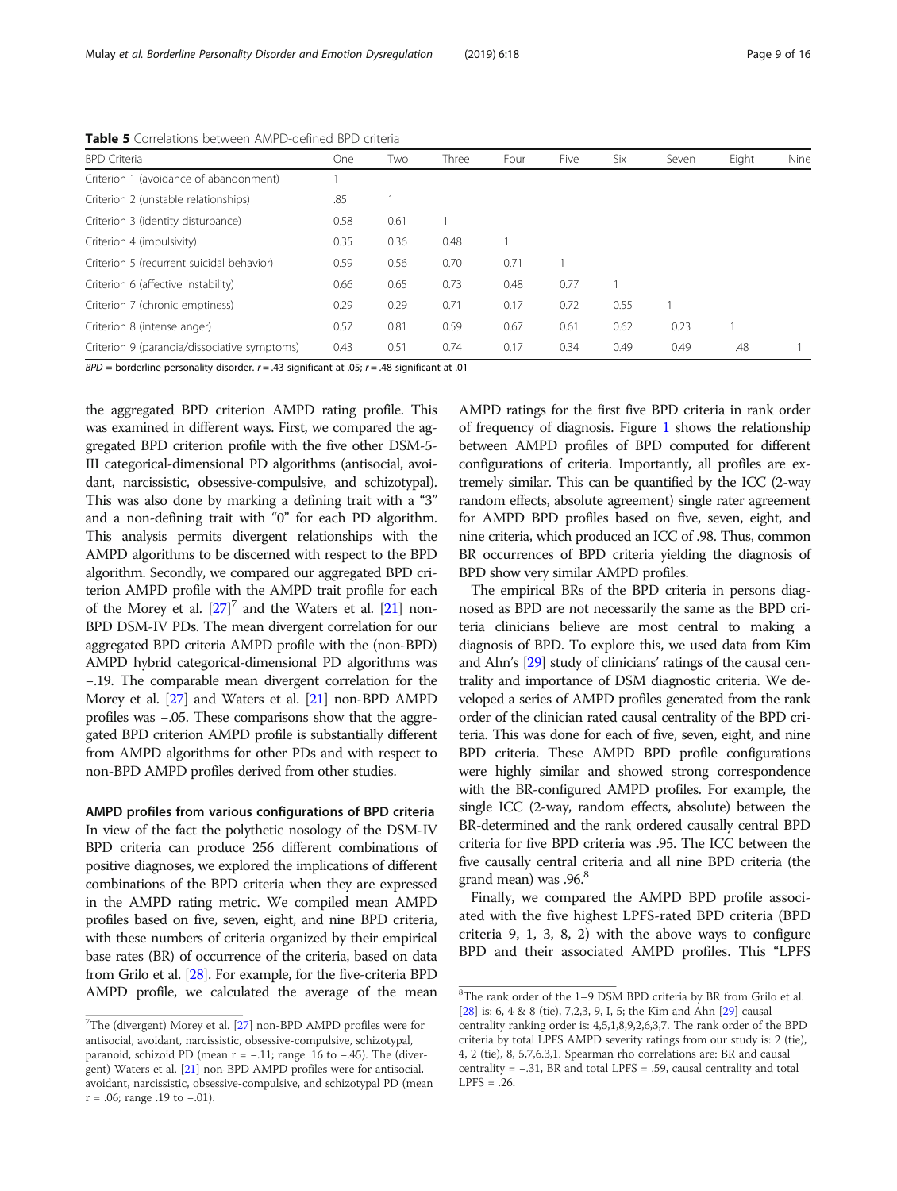<span id="page-8-0"></span>Mulay et al. Borderline Personality Disorder and Emotion Dysregulation (2019) 6:18 Page 9 of 16 Page 9 of 16

| <b>BPD</b> Criteria                          | One  | Two  | Three | Four | Five | Six  | Seven | Eight | Nine |
|----------------------------------------------|------|------|-------|------|------|------|-------|-------|------|
| Criterion 1 (avoidance of abandonment)       |      |      |       |      |      |      |       |       |      |
| Criterion 2 (unstable relationships)         | .85  |      |       |      |      |      |       |       |      |
| Criterion 3 (identity disturbance)           | 0.58 | 0.61 |       |      |      |      |       |       |      |
| Criterion 4 (impulsivity)                    | 0.35 | 0.36 | 0.48  |      |      |      |       |       |      |
| Criterion 5 (recurrent suicidal behavior)    | 0.59 | 0.56 | 0.70  | 0.71 |      |      |       |       |      |
| Criterion 6 (affective instability)          | 0.66 | 0.65 | 0.73  | 0.48 | 0.77 |      |       |       |      |
| Criterion 7 (chronic emptiness)              | 0.29 | 0.29 | 0.71  | 0.17 | 0.72 | 0.55 |       |       |      |
| Criterion 8 (intense anger)                  | 0.57 | 0.81 | 0.59  | 0.67 | 0.61 | 0.62 | 0.23  |       |      |
| Criterion 9 (paranoia/dissociative symptoms) | 0.43 | 0.51 | 0.74  | 0.17 | 0.34 | 0.49 | 0.49  | .48   |      |

Table 5 Correlations between AMPD-defined BPD criteria

 $BPD =$  borderline personality disorder.  $r = .43$  significant at .05;  $r = .48$  significant at .01

the aggregated BPD criterion AMPD rating profile. This was examined in different ways. First, we compared the aggregated BPD criterion profile with the five other DSM-5- III categorical-dimensional PD algorithms (antisocial, avoidant, narcissistic, obsessive-compulsive, and schizotypal). This was also done by marking a defining trait with a "3" and a non-defining trait with "0" for each PD algorithm. This analysis permits divergent relationships with the AMPD algorithms to be discerned with respect to the BPD algorithm. Secondly, we compared our aggregated BPD criterion AMPD profile with the AMPD trait profile for each of the Morey et al.  $[27]$ <sup>7</sup> and the Waters et al.  $[21]$  non-BPD DSM-IV PDs. The mean divergent correlation for our aggregated BPD criteria AMPD profile with the (non-BPD) AMPD hybrid categorical-dimensional PD algorithms was −.19. The comparable mean divergent correlation for the Morey et al. [[27](#page-14-0)] and Waters et al. [[21](#page-14-0)] non-BPD AMPD profiles was −.05. These comparisons show that the aggregated BPD criterion AMPD profile is substantially different from AMPD algorithms for other PDs and with respect to non-BPD AMPD profiles derived from other studies.

## AMPD profiles from various configurations of BPD criteria

In view of the fact the polythetic nosology of the DSM-IV BPD criteria can produce 256 different combinations of positive diagnoses, we explored the implications of different combinations of the BPD criteria when they are expressed in the AMPD rating metric. We compiled mean AMPD profiles based on five, seven, eight, and nine BPD criteria, with these numbers of criteria organized by their empirical base rates (BR) of occurrence of the criteria, based on data from Grilo et al. [[28](#page-14-0)]. For example, for the five-criteria BPD AMPD profile, we calculated the average of the mean

AMPD ratings for the first five BPD criteria in rank order of frequency of diagnosis. Figure [1](#page-10-0) shows the relationship between AMPD profiles of BPD computed for different configurations of criteria. Importantly, all profiles are extremely similar. This can be quantified by the ICC (2-way random effects, absolute agreement) single rater agreement for AMPD BPD profiles based on five, seven, eight, and nine criteria, which produced an ICC of .98. Thus, common BR occurrences of BPD criteria yielding the diagnosis of BPD show very similar AMPD profiles.

The empirical BRs of the BPD criteria in persons diagnosed as BPD are not necessarily the same as the BPD criteria clinicians believe are most central to making a diagnosis of BPD. To explore this, we used data from Kim and Ahn's [\[29\]](#page-14-0) study of clinicians' ratings of the causal centrality and importance of DSM diagnostic criteria. We developed a series of AMPD profiles generated from the rank order of the clinician rated causal centrality of the BPD criteria. This was done for each of five, seven, eight, and nine BPD criteria. These AMPD BPD profile configurations were highly similar and showed strong correspondence with the BR-configured AMPD profiles. For example, the single ICC (2-way, random effects, absolute) between the BR-determined and the rank ordered causally central BPD criteria for five BPD criteria was .95. The ICC between the five causally central criteria and all nine BPD criteria (the grand mean) was .96.<sup>8</sup>

Finally, we compared the AMPD BPD profile associated with the five highest LPFS-rated BPD criteria (BPD criteria 9, 1, 3, 8, 2) with the above ways to configure BPD and their associated AMPD profiles. This "LPFS

<sup>&</sup>lt;sup>7</sup>The (divergent) Morey et al. [[27](#page-14-0)] non-BPD AMPD profiles were for antisocial, avoidant, narcissistic, obsessive-compulsive, schizotypal, paranoid, schizoid PD (mean r = −.11; range .16 to −.45). The (divergent) Waters et al. [\[21](#page-14-0)] non-BPD AMPD profiles were for antisocial, avoidant, narcissistic, obsessive-compulsive, and schizotypal PD (mean r = .06; range .19 to −.01).

<sup>8</sup> The rank order of the 1–9 DSM BPD criteria by BR from Grilo et al. [\[28](#page-14-0)] is: 6, 4 & 8 (tie), 7,2,3, 9, I, 5; the Kim and Ahn [\[29\]](#page-14-0) causal centrality ranking order is: 4,5,1,8,9,2,6,3,7. The rank order of the BPD criteria by total LPFS AMPD severity ratings from our study is: 2 (tie), 4, 2 (tie), 8, 5,7,6.3,1. Spearman rho correlations are: BR and causal centrality = −.31, BR and total LPFS = .59, causal centrality and total  $LPFS = .26$ .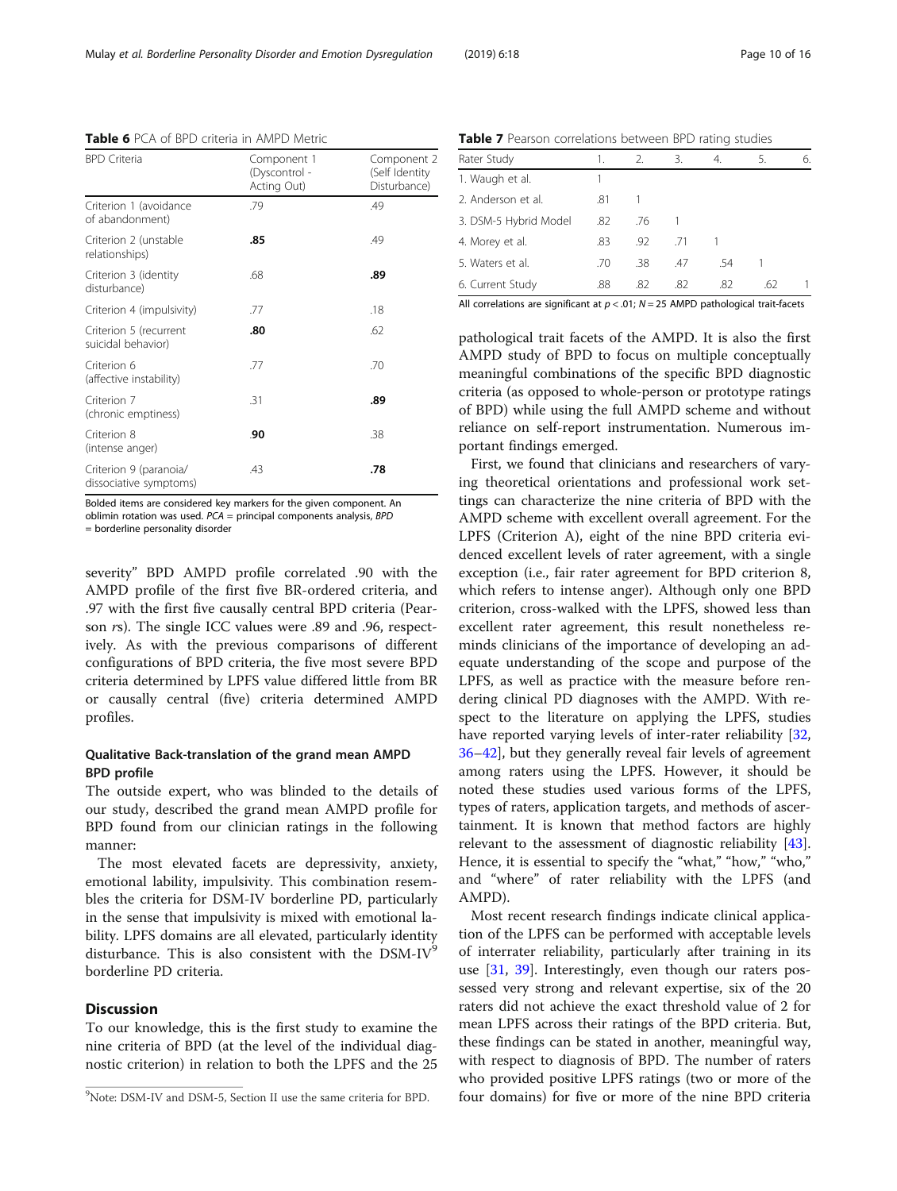Bolded items are considered key markers for the given component. An oblimin rotation was used.  $PCA = principal$  components analysis,  $BPD$ 

= borderline personality disorder

severity" BPD AMPD profile correlated .90 with the AMPD profile of the first five BR-ordered criteria, and .97 with the first five causally central BPD criteria (Pearson rs). The single ICC values were .89 and .96, respectively. As with the previous comparisons of different configurations of BPD criteria, the five most severe BPD criteria determined by LPFS value differed little from BR or causally central (five) criteria determined AMPD profiles.

## Qualitative Back-translation of the grand mean AMPD BPD profile

The outside expert, who was blinded to the details of our study, described the grand mean AMPD profile for BPD found from our clinician ratings in the following manner:

The most elevated facets are depressivity, anxiety, emotional lability, impulsivity. This combination resembles the criteria for DSM-IV borderline PD, particularly in the sense that impulsivity is mixed with emotional lability. LPFS domains are all elevated, particularly identity disturbance. This is also consistent with the  $DSM-IV<sup>9</sup>$ borderline PD criteria.

## **Discussion**

To our knowledge, this is the first study to examine the nine criteria of BPD (at the level of the individual diagnostic criterion) in relation to both the LPFS and the 25

Table 7 Pearson correlations between BPD rating studies

| Rater Study           | 1.  | 2.  | 3.  | 4.  | 5.  | 6. |
|-----------------------|-----|-----|-----|-----|-----|----|
| 1. Waugh et al.       |     |     |     |     |     |    |
| 2. Anderson et al.    | .81 |     |     |     |     |    |
| 3. DSM-5 Hybrid Model | .82 | .76 |     |     |     |    |
| 4. Morey et al.       | .83 | .92 | .71 |     |     |    |
| 5. Waters et al.      | .70 | .38 | .47 | .54 |     |    |
| 6. Current Study      | .88 | .82 | .82 | .82 | .62 |    |

All correlations are significant at  $p < .01$ ;  $N = 25$  AMPD pathological trait-facets

pathological trait facets of the AMPD. It is also the first AMPD study of BPD to focus on multiple conceptually meaningful combinations of the specific BPD diagnostic criteria (as opposed to whole-person or prototype ratings of BPD) while using the full AMPD scheme and without reliance on self-report instrumentation. Numerous important findings emerged.

First, we found that clinicians and researchers of varying theoretical orientations and professional work settings can characterize the nine criteria of BPD with the AMPD scheme with excellent overall agreement. For the LPFS (Criterion A), eight of the nine BPD criteria evidenced excellent levels of rater agreement, with a single exception (i.e., fair rater agreement for BPD criterion 8, which refers to intense anger). Although only one BPD criterion, cross-walked with the LPFS, showed less than excellent rater agreement, this result nonetheless reminds clinicians of the importance of developing an adequate understanding of the scope and purpose of the LPFS, as well as practice with the measure before rendering clinical PD diagnoses with the AMPD. With respect to the literature on applying the LPFS, studies have reported varying levels of inter-rater reliability [[32](#page-14-0), [36](#page-14-0)–[42](#page-15-0)], but they generally reveal fair levels of agreement among raters using the LPFS. However, it should be noted these studies used various forms of the LPFS, types of raters, application targets, and methods of ascertainment. It is known that method factors are highly relevant to the assessment of diagnostic reliability [\[43](#page-15-0)]. Hence, it is essential to specify the "what," "how," "who," and "where" of rater reliability with the LPFS (and AMPD).

Most recent research findings indicate clinical application of the LPFS can be performed with acceptable levels of interrater reliability, particularly after training in its use [[31,](#page-14-0) [39\]](#page-14-0). Interestingly, even though our raters possessed very strong and relevant expertise, six of the 20 raters did not achieve the exact threshold value of 2 for mean LPFS across their ratings of the BPD criteria. But, these findings can be stated in another, meaningful way, with respect to diagnosis of BPD. The number of raters who provided positive LPFS ratings (two or more of the four domains) for five or more of the nine BPD criteria

<span id="page-9-0"></span>Table 6 PCA of BPD criteria in AMPD Metric

| <b>Table 6</b> PCA of BPD criteria in AMPD Metric |                                             |                                               |  |  |  |  |
|---------------------------------------------------|---------------------------------------------|-----------------------------------------------|--|--|--|--|
| <b>BPD Criteria</b>                               | Component 1<br>(Dyscontrol -<br>Acting Out) | Component 2<br>(Self Identity<br>Disturbance) |  |  |  |  |
| Criterion 1 (avoidance<br>of abandonment)         | .79                                         | .49                                           |  |  |  |  |
| Criterion 2 (unstable<br>relationships)           | .85                                         | .49                                           |  |  |  |  |
| Criterion 3 (identity<br>disturbance)             | .68                                         | .89                                           |  |  |  |  |
| Criterion 4 (impulsivity)                         | .77                                         | .18                                           |  |  |  |  |
| Criterion 5 (recurrent<br>suicidal behavior)      | .80                                         | .62                                           |  |  |  |  |
| Criterion 6<br>(affective instability)            | .77                                         | .70                                           |  |  |  |  |
| Criterion 7<br>(chronic emptiness)                | .31                                         | .89                                           |  |  |  |  |
| Criterion 8<br>(intense anger)                    | .90                                         | .38                                           |  |  |  |  |
| Criterion 9 (paranoia/<br>dissociative symptoms)  | .43                                         | .78                                           |  |  |  |  |

Note: DSM-IV and DSM-5, Section II use the same criteria for BPD.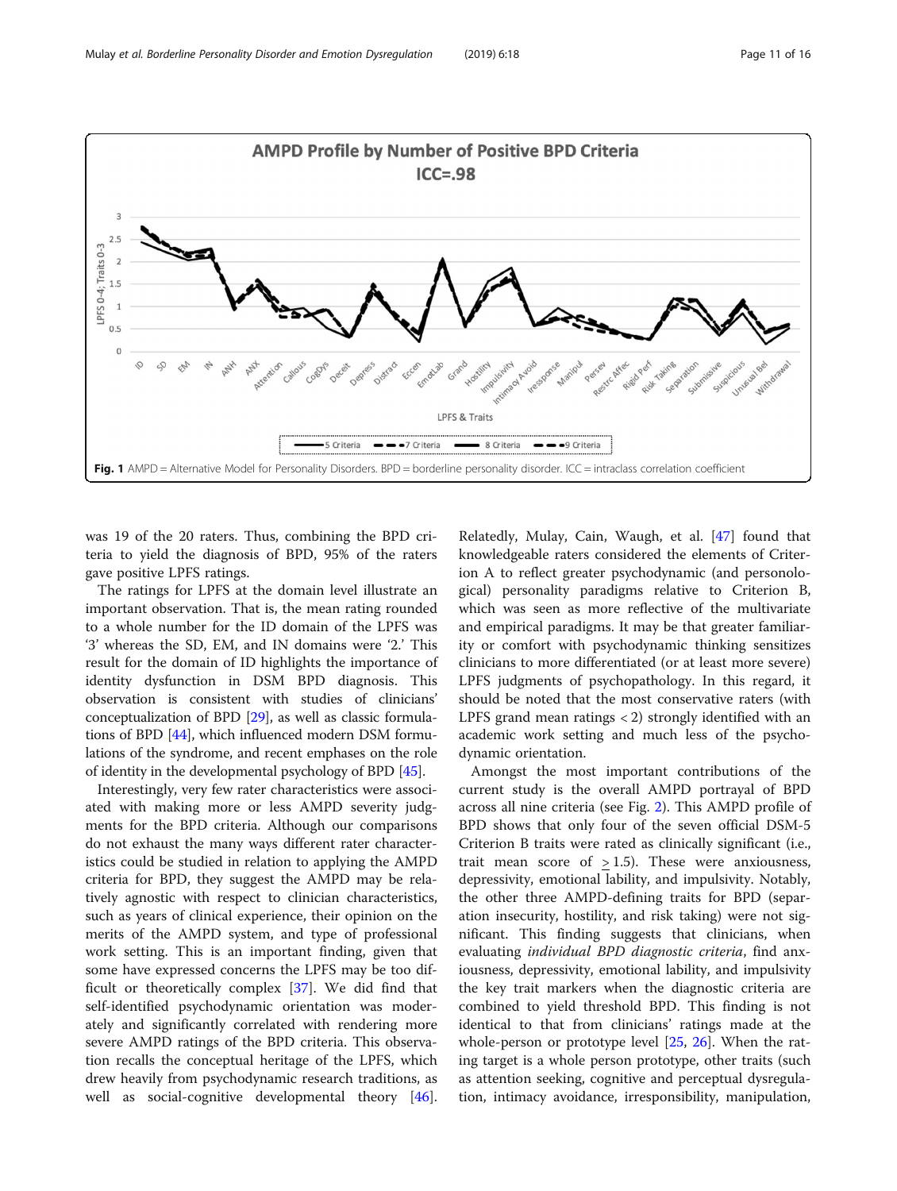<span id="page-10-0"></span>

was 19 of the 20 raters. Thus, combining the BPD criteria to yield the diagnosis of BPD, 95% of the raters gave positive LPFS ratings.

The ratings for LPFS at the domain level illustrate an important observation. That is, the mean rating rounded to a whole number for the ID domain of the LPFS was '3' whereas the SD, EM, and IN domains were '2.' This result for the domain of ID highlights the importance of identity dysfunction in DSM BPD diagnosis. This observation is consistent with studies of clinicians' conceptualization of BPD [\[29](#page-14-0)], as well as classic formulations of BPD [\[44](#page-15-0)], which influenced modern DSM formulations of the syndrome, and recent emphases on the role of identity in the developmental psychology of BPD [[45](#page-15-0)].

Interestingly, very few rater characteristics were associated with making more or less AMPD severity judgments for the BPD criteria. Although our comparisons do not exhaust the many ways different rater characteristics could be studied in relation to applying the AMPD criteria for BPD, they suggest the AMPD may be relatively agnostic with respect to clinician characteristics, such as years of clinical experience, their opinion on the merits of the AMPD system, and type of professional work setting. This is an important finding, given that some have expressed concerns the LPFS may be too difficult or theoretically complex [\[37\]](#page-14-0). We did find that self-identified psychodynamic orientation was moderately and significantly correlated with rendering more severe AMPD ratings of the BPD criteria. This observation recalls the conceptual heritage of the LPFS, which drew heavily from psychodynamic research traditions, as well as social-cognitive developmental theory [\[46](#page-15-0)].

Relatedly, Mulay, Cain, Waugh, et al. [\[47](#page-15-0)] found that knowledgeable raters considered the elements of Criterion A to reflect greater psychodynamic (and personological) personality paradigms relative to Criterion B, which was seen as more reflective of the multivariate and empirical paradigms. It may be that greater familiarity or comfort with psychodynamic thinking sensitizes clinicians to more differentiated (or at least more severe) LPFS judgments of psychopathology. In this regard, it should be noted that the most conservative raters (with LPFS grand mean ratings < 2) strongly identified with an academic work setting and much less of the psychodynamic orientation.

Amongst the most important contributions of the current study is the overall AMPD portrayal of BPD across all nine criteria (see Fig. [2\)](#page-11-0). This AMPD profile of BPD shows that only four of the seven official DSM-5 Criterion B traits were rated as clinically significant (i.e., trait mean score of  $> 1.5$ ). These were anxiousness, depressivity, emotional lability, and impulsivity. Notably, the other three AMPD-defining traits for BPD (separation insecurity, hostility, and risk taking) were not significant. This finding suggests that clinicians, when evaluating individual BPD diagnostic criteria, find anxiousness, depressivity, emotional lability, and impulsivity the key trait markers when the diagnostic criteria are combined to yield threshold BPD. This finding is not identical to that from clinicians' ratings made at the whole-person or prototype level [\[25](#page-14-0), [26\]](#page-14-0). When the rating target is a whole person prototype, other traits (such as attention seeking, cognitive and perceptual dysregulation, intimacy avoidance, irresponsibility, manipulation,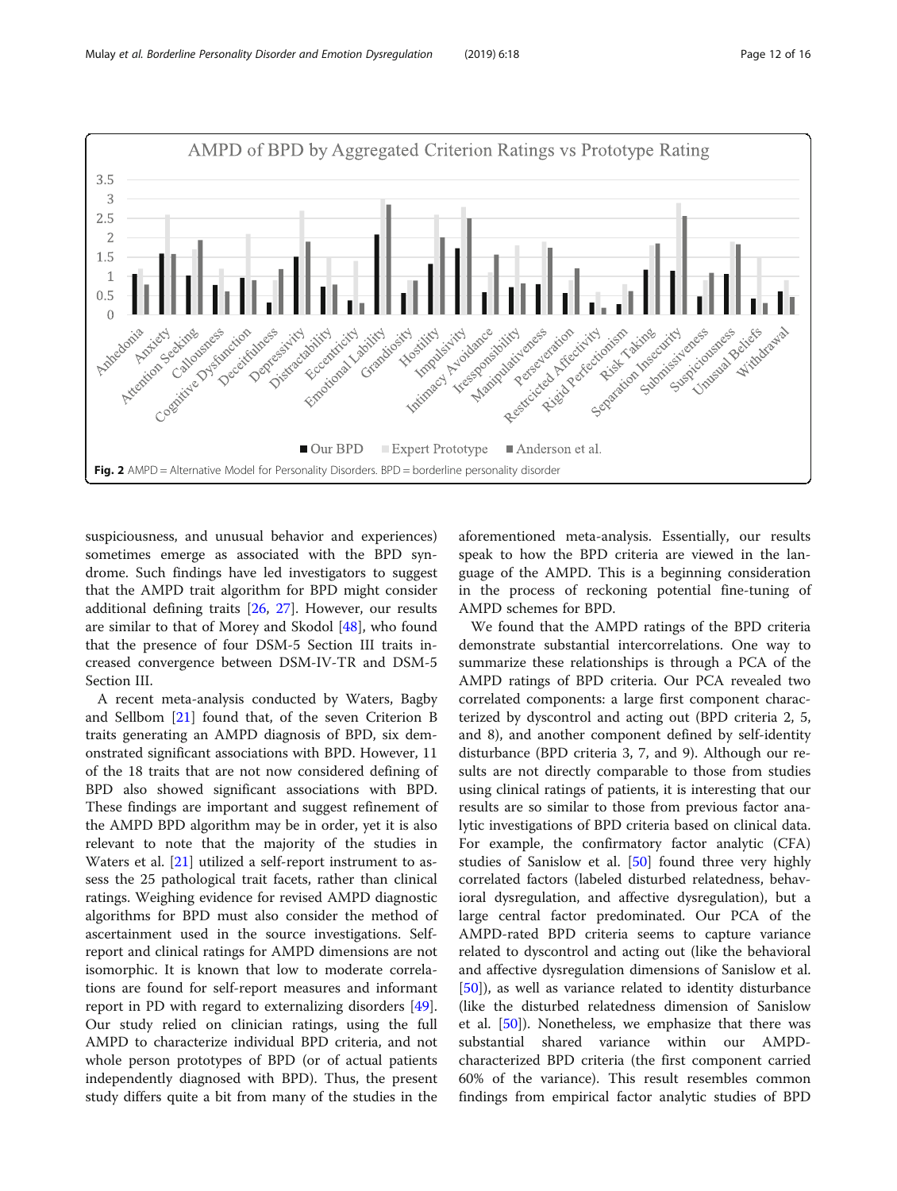<span id="page-11-0"></span>

suspiciousness, and unusual behavior and experiences) sometimes emerge as associated with the BPD syndrome. Such findings have led investigators to suggest that the AMPD trait algorithm for BPD might consider additional defining traits [\[26,](#page-14-0) [27](#page-14-0)]. However, our results are similar to that of Morey and Skodol [[48\]](#page-15-0), who found that the presence of four DSM-5 Section III traits increased convergence between DSM-IV-TR and DSM-5 Section III.

A recent meta-analysis conducted by Waters, Bagby and Sellbom [[21\]](#page-14-0) found that, of the seven Criterion B traits generating an AMPD diagnosis of BPD, six demonstrated significant associations with BPD. However, 11 of the 18 traits that are not now considered defining of BPD also showed significant associations with BPD. These findings are important and suggest refinement of the AMPD BPD algorithm may be in order, yet it is also relevant to note that the majority of the studies in Waters et al. [[21\]](#page-14-0) utilized a self-report instrument to assess the 25 pathological trait facets, rather than clinical ratings. Weighing evidence for revised AMPD diagnostic algorithms for BPD must also consider the method of ascertainment used in the source investigations. Selfreport and clinical ratings for AMPD dimensions are not isomorphic. It is known that low to moderate correlations are found for self-report measures and informant report in PD with regard to externalizing disorders [\[49](#page-15-0)]. Our study relied on clinician ratings, using the full AMPD to characterize individual BPD criteria, and not whole person prototypes of BPD (or of actual patients independently diagnosed with BPD). Thus, the present study differs quite a bit from many of the studies in the

aforementioned meta-analysis. Essentially, our results speak to how the BPD criteria are viewed in the language of the AMPD. This is a beginning consideration in the process of reckoning potential fine-tuning of AMPD schemes for BPD.

We found that the AMPD ratings of the BPD criteria demonstrate substantial intercorrelations. One way to summarize these relationships is through a PCA of the AMPD ratings of BPD criteria. Our PCA revealed two correlated components: a large first component characterized by dyscontrol and acting out (BPD criteria 2, 5, and 8), and another component defined by self-identity disturbance (BPD criteria 3, 7, and 9). Although our results are not directly comparable to those from studies using clinical ratings of patients, it is interesting that our results are so similar to those from previous factor analytic investigations of BPD criteria based on clinical data. For example, the confirmatory factor analytic (CFA) studies of Sanislow et al. [\[50\]](#page-15-0) found three very highly correlated factors (labeled disturbed relatedness, behavioral dysregulation, and affective dysregulation), but a large central factor predominated. Our PCA of the AMPD-rated BPD criteria seems to capture variance related to dyscontrol and acting out (like the behavioral and affective dysregulation dimensions of Sanislow et al. [[50\]](#page-15-0)), as well as variance related to identity disturbance (like the disturbed relatedness dimension of Sanislow et al. [\[50\]](#page-15-0)). Nonetheless, we emphasize that there was substantial shared variance within our AMPDcharacterized BPD criteria (the first component carried 60% of the variance). This result resembles common findings from empirical factor analytic studies of BPD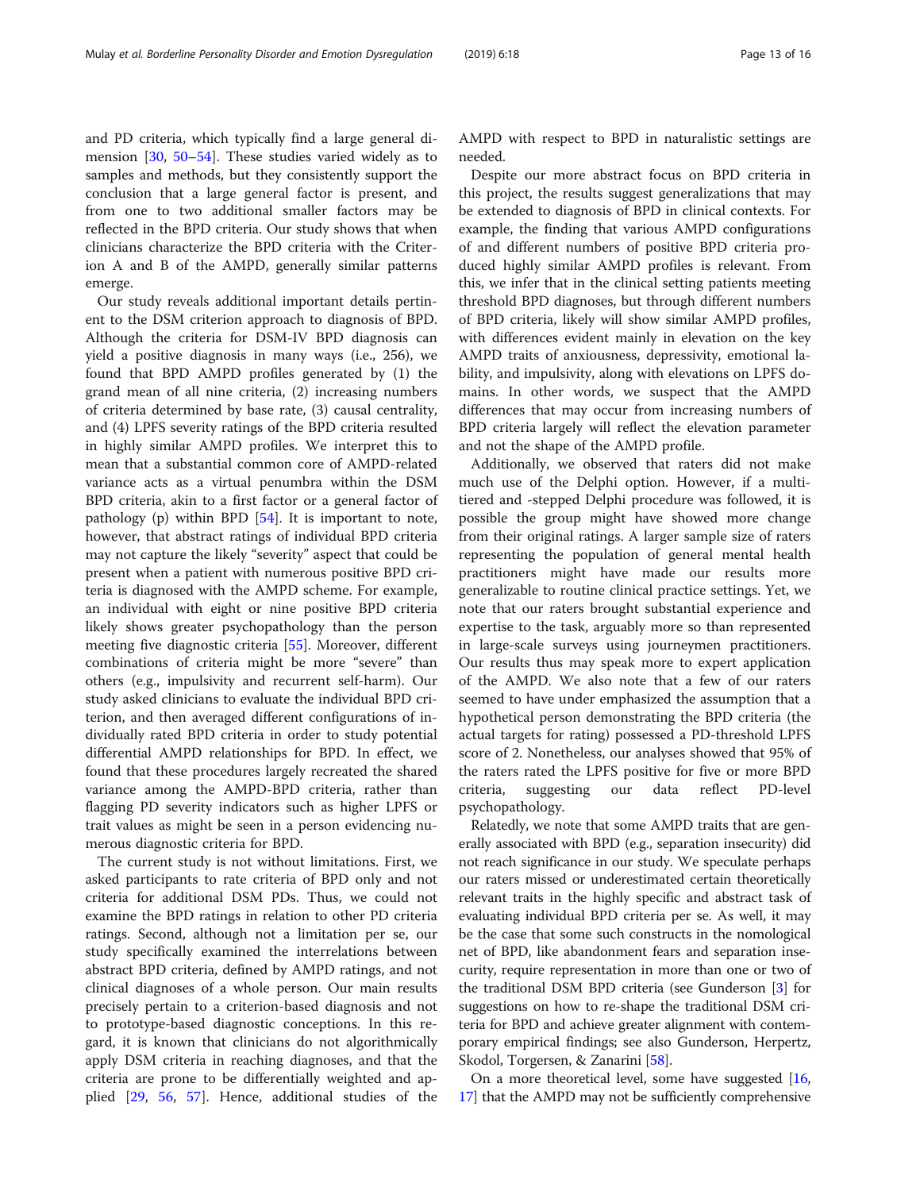and PD criteria, which typically find a large general dimension [[30,](#page-14-0) [50](#page-15-0)–[54\]](#page-15-0). These studies varied widely as to samples and methods, but they consistently support the conclusion that a large general factor is present, and from one to two additional smaller factors may be reflected in the BPD criteria. Our study shows that when clinicians characterize the BPD criteria with the Criterion A and B of the AMPD, generally similar patterns emerge.

Our study reveals additional important details pertinent to the DSM criterion approach to diagnosis of BPD. Although the criteria for DSM-IV BPD diagnosis can yield a positive diagnosis in many ways (i.e., 256), we found that BPD AMPD profiles generated by (1) the grand mean of all nine criteria, (2) increasing numbers of criteria determined by base rate, (3) causal centrality, and (4) LPFS severity ratings of the BPD criteria resulted in highly similar AMPD profiles. We interpret this to mean that a substantial common core of AMPD-related variance acts as a virtual penumbra within the DSM BPD criteria, akin to a first factor or a general factor of pathology (p) within BPD  $[54]$  $[54]$ . It is important to note, however, that abstract ratings of individual BPD criteria may not capture the likely "severity" aspect that could be present when a patient with numerous positive BPD criteria is diagnosed with the AMPD scheme. For example, an individual with eight or nine positive BPD criteria likely shows greater psychopathology than the person meeting five diagnostic criteria [[55](#page-15-0)]. Moreover, different combinations of criteria might be more "severe" than others (e.g., impulsivity and recurrent self-harm). Our study asked clinicians to evaluate the individual BPD criterion, and then averaged different configurations of individually rated BPD criteria in order to study potential differential AMPD relationships for BPD. In effect, we found that these procedures largely recreated the shared variance among the AMPD-BPD criteria, rather than flagging PD severity indicators such as higher LPFS or trait values as might be seen in a person evidencing numerous diagnostic criteria for BPD.

The current study is not without limitations. First, we asked participants to rate criteria of BPD only and not criteria for additional DSM PDs. Thus, we could not examine the BPD ratings in relation to other PD criteria ratings. Second, although not a limitation per se, our study specifically examined the interrelations between abstract BPD criteria, defined by AMPD ratings, and not clinical diagnoses of a whole person. Our main results precisely pertain to a criterion-based diagnosis and not to prototype-based diagnostic conceptions. In this regard, it is known that clinicians do not algorithmically apply DSM criteria in reaching diagnoses, and that the criteria are prone to be differentially weighted and applied [[29](#page-14-0), [56](#page-15-0), [57\]](#page-15-0). Hence, additional studies of the AMPD with respect to BPD in naturalistic settings are needed.

Despite our more abstract focus on BPD criteria in this project, the results suggest generalizations that may be extended to diagnosis of BPD in clinical contexts. For example, the finding that various AMPD configurations of and different numbers of positive BPD criteria produced highly similar AMPD profiles is relevant. From this, we infer that in the clinical setting patients meeting threshold BPD diagnoses, but through different numbers of BPD criteria, likely will show similar AMPD profiles, with differences evident mainly in elevation on the key AMPD traits of anxiousness, depressivity, emotional lability, and impulsivity, along with elevations on LPFS domains. In other words, we suspect that the AMPD differences that may occur from increasing numbers of BPD criteria largely will reflect the elevation parameter and not the shape of the AMPD profile.

Additionally, we observed that raters did not make much use of the Delphi option. However, if a multitiered and -stepped Delphi procedure was followed, it is possible the group might have showed more change from their original ratings. A larger sample size of raters representing the population of general mental health practitioners might have made our results more generalizable to routine clinical practice settings. Yet, we note that our raters brought substantial experience and expertise to the task, arguably more so than represented in large-scale surveys using journeymen practitioners. Our results thus may speak more to expert application of the AMPD. We also note that a few of our raters seemed to have under emphasized the assumption that a hypothetical person demonstrating the BPD criteria (the actual targets for rating) possessed a PD-threshold LPFS score of 2. Nonetheless, our analyses showed that 95% of the raters rated the LPFS positive for five or more BPD criteria, suggesting our data reflect PD-level psychopathology.

Relatedly, we note that some AMPD traits that are generally associated with BPD (e.g., separation insecurity) did not reach significance in our study. We speculate perhaps our raters missed or underestimated certain theoretically relevant traits in the highly specific and abstract task of evaluating individual BPD criteria per se. As well, it may be the case that some such constructs in the nomological net of BPD, like abandonment fears and separation insecurity, require representation in more than one or two of the traditional DSM BPD criteria (see Gunderson [\[3](#page-13-0)] for suggestions on how to re-shape the traditional DSM criteria for BPD and achieve greater alignment with contemporary empirical findings; see also Gunderson, Herpertz, Skodol, Torgersen, & Zanarini [[58](#page-15-0)].

On a more theoretical level, some have suggested [[16](#page-14-0), [17](#page-14-0)] that the AMPD may not be sufficiently comprehensive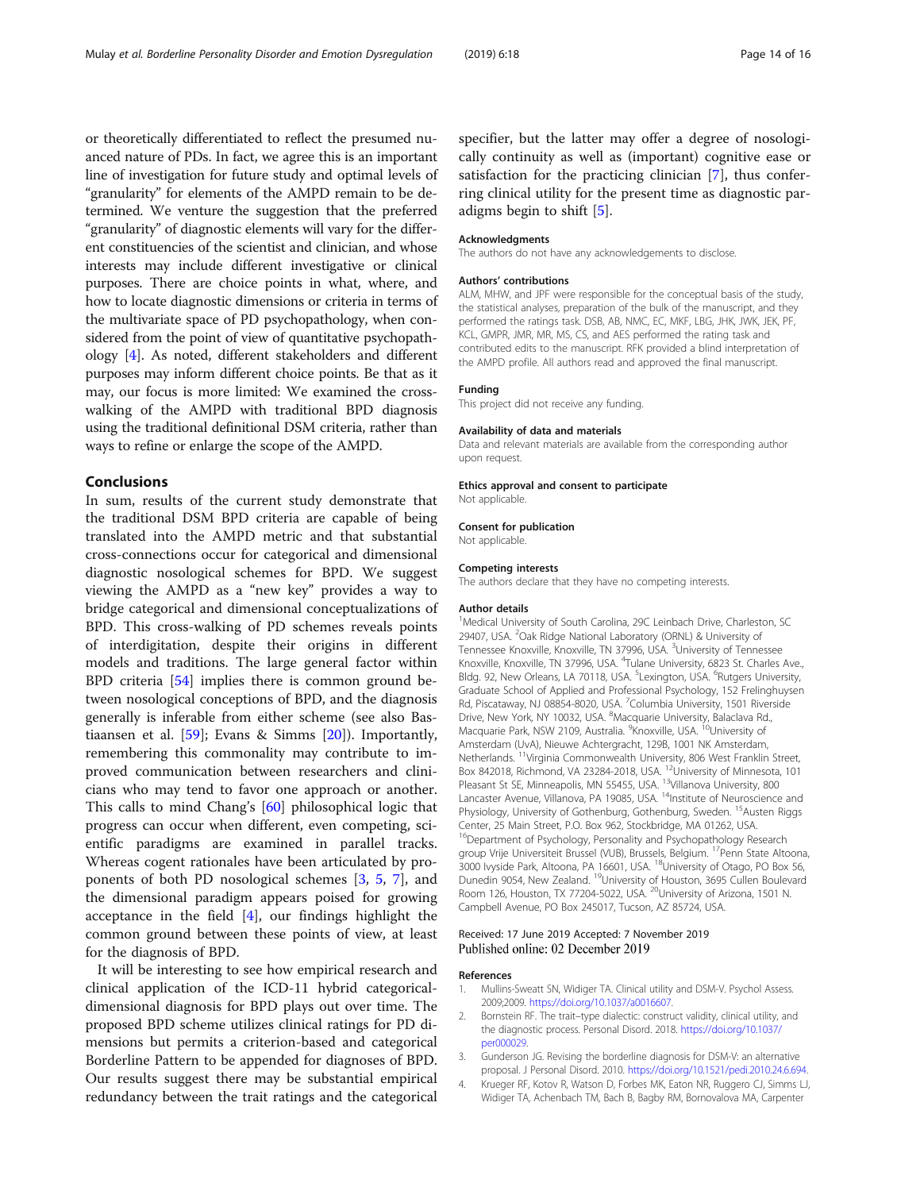<span id="page-13-0"></span>or theoretically differentiated to reflect the presumed nuanced nature of PDs. In fact, we agree this is an important line of investigation for future study and optimal levels of "granularity" for elements of the AMPD remain to be determined. We venture the suggestion that the preferred "granularity" of diagnostic elements will vary for the different constituencies of the scientist and clinician, and whose interests may include different investigative or clinical purposes. There are choice points in what, where, and how to locate diagnostic dimensions or criteria in terms of the multivariate space of PD psychopathology, when considered from the point of view of quantitative psychopathology [4]. As noted, different stakeholders and different purposes may inform different choice points. Be that as it may, our focus is more limited: We examined the crosswalking of the AMPD with traditional BPD diagnosis using the traditional definitional DSM criteria, rather than ways to refine or enlarge the scope of the AMPD.

## Conclusions

In sum, results of the current study demonstrate that the traditional DSM BPD criteria are capable of being translated into the AMPD metric and that substantial cross-connections occur for categorical and dimensional diagnostic nosological schemes for BPD. We suggest viewing the AMPD as a "new key" provides a way to bridge categorical and dimensional conceptualizations of BPD. This cross-walking of PD schemes reveals points of interdigitation, despite their origins in different models and traditions. The large general factor within BPD criteria [[54\]](#page-15-0) implies there is common ground between nosological conceptions of BPD, and the diagnosis generally is inferable from either scheme (see also Bastiaansen et al. [\[59\]](#page-15-0); Evans & Simms [\[20\]](#page-14-0)). Importantly, remembering this commonality may contribute to improved communication between researchers and clinicians who may tend to favor one approach or another. This calls to mind Chang's [[60](#page-15-0)] philosophical logic that progress can occur when different, even competing, scientific paradigms are examined in parallel tracks. Whereas cogent rationales have been articulated by proponents of both PD nosological schemes [3, [5](#page-14-0), [7\]](#page-14-0), and the dimensional paradigm appears poised for growing acceptance in the field  $[4]$ , our findings highlight the common ground between these points of view, at least for the diagnosis of BPD.

It will be interesting to see how empirical research and clinical application of the ICD-11 hybrid categoricaldimensional diagnosis for BPD plays out over time. The proposed BPD scheme utilizes clinical ratings for PD dimensions but permits a criterion-based and categorical Borderline Pattern to be appended for diagnoses of BPD. Our results suggest there may be substantial empirical redundancy between the trait ratings and the categorical specifier, but the latter may offer a degree of nosologically continuity as well as (important) cognitive ease or satisfaction for the practicing clinician [\[7](#page-14-0)], thus conferring clinical utility for the present time as diagnostic paradigms begin to shift [[5\]](#page-14-0).

#### Acknowledgments

The authors do not have any acknowledgements to disclose.

#### Authors' contributions

ALM, MHW, and JPF were responsible for the conceptual basis of the study, the statistical analyses, preparation of the bulk of the manuscript, and they performed the ratings task. DSB, AB, NMC, EC, MKF, LBG, JHK, JWK, JEK, PF, KCL, GMPR, JMR, MR, MS, CS, and AES performed the rating task and contributed edits to the manuscript. RFK provided a blind interpretation of the AMPD profile. All authors read and approved the final manuscript.

#### Funding

This project did not receive any funding.

#### Availability of data and materials

Data and relevant materials are available from the corresponding author upon request.

#### Ethics approval and consent to participate

Not applicable.

#### Consent for publication

Not applicable.

#### Competing interests

The authors declare that they have no competing interests.

#### Author details

<sup>1</sup>Medical University of South Carolina, 29C Leinbach Drive, Charleston, SC 29407, USA. <sup>2</sup>Oak Ridge National Laboratory (ORNL) & University of Tennessee Knoxville, Knoxville, TN 37996, USA. <sup>3</sup>University of Tennessee Knoxville, Knoxville, TN 37996, USA. <sup>4</sup>Tulane University, 6823 St. Charles Ave., Bldg. 92, New Orleans, LA 70118, USA. <sup>5</sup>Lexington, USA. <sup>6</sup>Rutgers University, Graduate School of Applied and Professional Psychology, 152 Frelinghuysen Rd, Piscataway, NJ 08854-8020, USA. <sup>7</sup>Columbia University, 1501 Riverside Drive, New York, NY 10032, USA. <sup>8</sup>Macquarie University, Balaclava Rd.<br>Macquarie Park, NSW 2109, Australia. <sup>9</sup>Knoxville, USA. <sup>10</sup>University of Amsterdam (UvA), Nieuwe Achtergracht, 129B, 1001 NK Amsterdam, Netherlands. 11Virginia Commonwealth University, 806 West Franklin Street, Box 842018, Richmond, VA 23284-2018, USA. <sup>12</sup>University of Minnesota, 101 Pleasant St SE, Minneapolis, MN 55455, USA. <sup>13</sup>Villanova University, 800 Lancaster Avenue, Villanova, PA 19085, USA. <sup>14</sup>Institute of Neuroscience and Physiology, University of Gothenburg, Gothenburg, Sweden. <sup>15</sup>Austen Riggs Center, 25 Main Street, P.O. Box 962, Stockbridge, MA 01262, USA. <sup>16</sup>Department of Psychology, Personality and Psychopathology Research group Vrije Universiteit Brussel (VUB), Brussels, Belgium. 17Penn State Altoona, 3000 Ivyside Park, Altoona, PA 16601, USA. 18University of Otago, PO Box 56, Dunedin 9054, New Zealand. 19University of Houston, 3695 Cullen Boulevard Room 126, Houston, TX 77204-5022, USA. <sup>20</sup>University of Arizona, 1501 N. Campbell Avenue, PO Box 245017, Tucson, AZ 85724, USA.

#### Received: 17 June 2019 Accepted: 7 November 2019 Published online: 02 December 2019

#### References

- 1. Mullins-Sweatt SN, Widiger TA. Clinical utility and DSM-V. Psychol Assess. 2009;2009. [https://doi.org/10.1037/a0016607.](https://doi.org/10.1037/a0016607)
- 2. Bornstein RF. The trait–type dialectic: construct validity, clinical utility, and the diagnostic process. Personal Disord. 2018. [https://doi.org/10.1037/](https://doi.org/10.1037/per000029) [per000029.](https://doi.org/10.1037/per000029)
- 3. Gunderson JG. Revising the borderline diagnosis for DSM-V: an alternative proposal. J Personal Disord. 2010. [https://doi.org/10.1521/pedi.2010.24.6.694.](https://doi.org/10.1521/pedi.2010.24.6.694)
- 4. Krueger RF, Kotov R, Watson D, Forbes MK, Eaton NR, Ruggero CJ, Simms LJ, Widiger TA, Achenbach TM, Bach B, Bagby RM, Bornovalova MA, Carpenter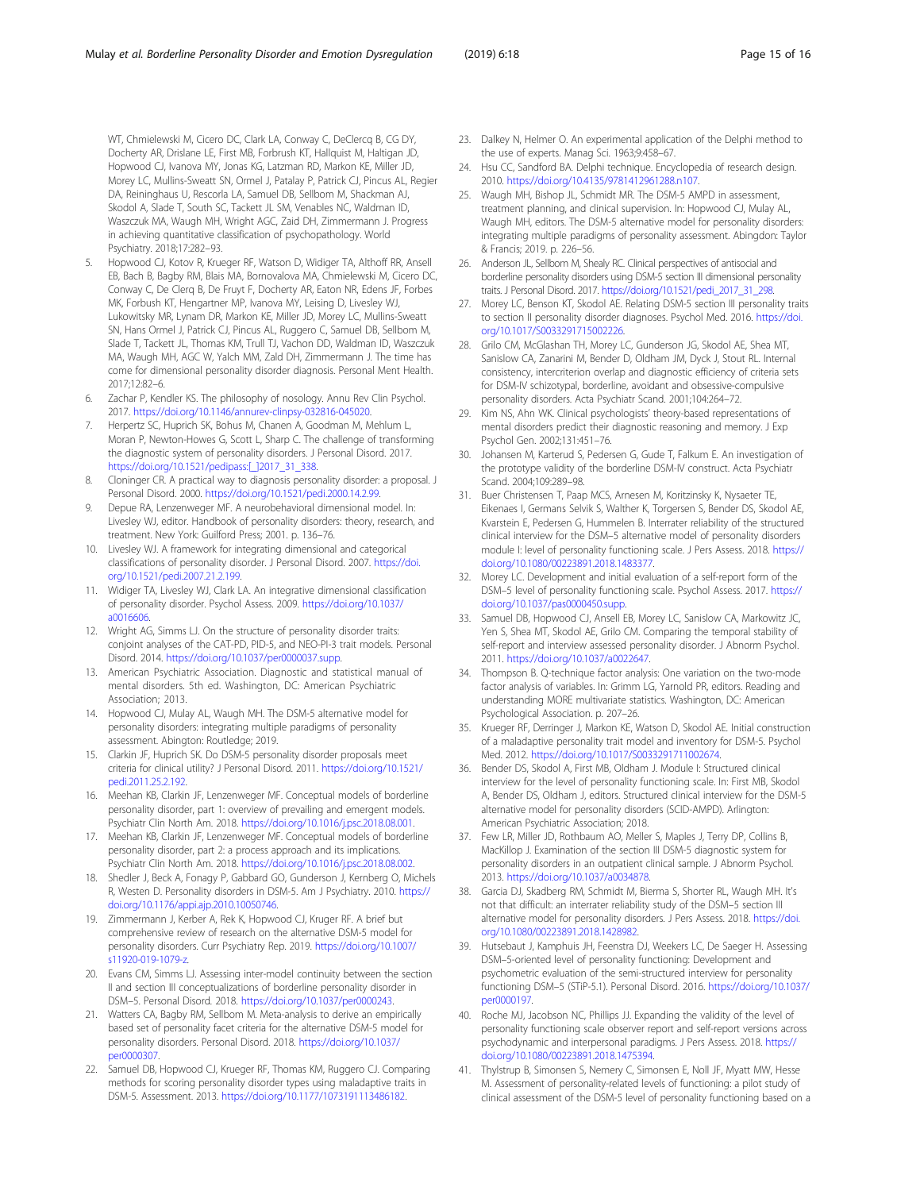<span id="page-14-0"></span>WT, Chmielewski M, Cicero DC, Clark LA, Conway C, DeClercq B, CG DY, Docherty AR, Drislane LE, First MB, Forbrush KT, Hallquist M, Haltigan JD, Hopwood CJ, Ivanova MY, Jonas KG, Latzman RD, Markon KE, Miller JD, Morey LC, Mullins-Sweatt SN, Ormel J, Patalay P, Patrick CJ, Pincus AL, Regier DA, Reininghaus U, Rescorla LA, Samuel DB, Sellbom M, Shackman AJ, Skodol A, Slade T, South SC, Tackett JL SM, Venables NC, Waldman ID, Waszczuk MA, Waugh MH, Wright AGC, Zaid DH, Zimmermann J. Progress in achieving quantitative classification of psychopathology. World Psychiatry. 2018;17:282–93.

- 5. Hopwood CJ, Kotov R, Krueger RF, Watson D, Widiger TA, Althoff RR, Ansell EB, Bach B, Bagby RM, Blais MA, Bornovalova MA, Chmielewski M, Cicero DC, Conway C, De Clerq B, De Fruyt F, Docherty AR, Eaton NR, Edens JF, Forbes MK, Forbush KT, Hengartner MP, Ivanova MY, Leising D, Livesley WJ, Lukowitsky MR, Lynam DR, Markon KE, Miller JD, Morey LC, Mullins-Sweatt SN, Hans Ormel J, Patrick CJ, Pincus AL, Ruggero C, Samuel DB, Sellbom M, Slade T, Tackett JL, Thomas KM, Trull TJ, Vachon DD, Waldman ID, Waszczuk MA, Waugh MH, AGC W, Yalch MM, Zald DH, Zimmermann J. The time has come for dimensional personality disorder diagnosis. Personal Ment Health. 2017;12:82–6.
- 6. Zachar P, Kendler KS. The philosophy of nosology. Annu Rev Clin Psychol. 2017. [https://doi.org/10.1146/annurev-clinpsy-032816-045020.](https://doi.org/10.1146/annurev-clinpsy-032816-045020)
- 7. Herpertz SC, Huprich SK, Bohus M, Chanen A, Goodman M, Mehlum L, Moran P, Newton-Howes G, Scott L, Sharp C. The challenge of transforming the diagnostic system of personality disorders. J Personal Disord. 2017. [https://doi.org/10.1521/pedipass:\[\\_\]2017\\_31\\_338](https://doi.org/10.1521/pedipass:<_>2017_31_338).
- 8. Cloninger CR. A practical way to diagnosis personality disorder: a proposal. J Personal Disord. 2000. [https://doi.org/10.1521/pedi.2000.14.2.99.](https://doi.org/10.1521/pedi.2000.14.2.99)
- Depue RA, Lenzenweger MF. A neurobehavioral dimensional model. In: Livesley WJ, editor. Handbook of personality disorders: theory, research, and treatment. New York: Guilford Press; 2001. p. 136–76.
- 10. Livesley WJ. A framework for integrating dimensional and categorical classifications of personality disorder. J Personal Disord. 2007. [https://doi.](https://doi.org/10.1521/pedi.2007.21.2.199) [org/10.1521/pedi.2007.21.2.199](https://doi.org/10.1521/pedi.2007.21.2.199).
- 11. Widiger TA, Livesley WJ, Clark LA. An integrative dimensional classification of personality disorder. Psychol Assess. 2009. [https://doi.org/10.1037/](https://doi.org/10.1037/a0016606) [a0016606.](https://doi.org/10.1037/a0016606)
- 12. Wright AG, Simms LJ. On the structure of personality disorder traits: conjoint analyses of the CAT-PD, PID-5, and NEO-PI-3 trait models. Personal Disord. 2014. <https://doi.org/10.1037/per0000037.supp>.
- 13. American Psychiatric Association. Diagnostic and statistical manual of mental disorders. 5th ed. Washington, DC: American Psychiatric Association; 2013.
- 14. Hopwood CJ, Mulay AL, Waugh MH. The DSM-5 alternative model for personality disorders: integrating multiple paradigms of personality assessment. Abington: Routledge; 2019.
- 15. Clarkin JF, Huprich SK. Do DSM-5 personality disorder proposals meet criteria for clinical utility? J Personal Disord. 2011. [https://doi.org/10.1521/](https://doi.org/10.1521/pedi.2011.25.2.192) [pedi.2011.25.2.192](https://doi.org/10.1521/pedi.2011.25.2.192).
- 16. Meehan KB, Clarkin JF, Lenzenweger MF. Conceptual models of borderline personality disorder, part 1: overview of prevailing and emergent models. Psychiatr Clin North Am. 2018. <https://doi.org/10.1016/j.psc.2018.08.001>.
- 17. Meehan KB, Clarkin JF, Lenzenweger MF. Conceptual models of borderline personality disorder, part 2: a process approach and its implications. Psychiatr Clin North Am. 2018. <https://doi.org/10.1016/j.psc.2018.08.002>.
- 18. Shedler J, Beck A, Fonagy P, Gabbard GO, Gunderson J, Kernberg O, Michels R, Westen D. Personality disorders in DSM-5. Am J Psychiatry. 2010. [https://](https://doi.org/10.1176/appi.ajp.2010.10050746) [doi.org/10.1176/appi.ajp.2010.10050746.](https://doi.org/10.1176/appi.ajp.2010.10050746)
- 19. Zimmermann J, Kerber A, Rek K, Hopwood CJ, Kruger RF. A brief but comprehensive review of research on the alternative DSM-5 model for personality disorders. Curr Psychiatry Rep. 2019. [https://doi.org/10.1007/](https://doi.org/10.1007/s11920-019-1079-z) [s11920-019-1079-z](https://doi.org/10.1007/s11920-019-1079-z).
- 20. Evans CM, Simms LJ. Assessing inter-model continuity between the section II and section III conceptualizations of borderline personality disorder in DSM–5. Personal Disord. 2018. [https://doi.org/10.1037/per0000243.](https://doi.org/10.1037/per0000243)
- 21. Watters CA, Bagby RM, Sellbom M. Meta-analysis to derive an empirically based set of personality facet criteria for the alternative DSM-5 model for personality disorders. Personal Disord. 2018. [https://doi.org/10.1037/](https://doi.org/10.1037/per0000307) [per0000307.](https://doi.org/10.1037/per0000307)
- 22. Samuel DB, Hopwood CJ, Krueger RF, Thomas KM, Ruggero CJ. Comparing methods for scoring personality disorder types using maladaptive traits in DSM-5. Assessment. 2013. <https://doi.org/10.1177/1073191113486182>.
- 23. Dalkey N, Helmer O. An experimental application of the Delphi method to the use of experts. Manag Sci. 1963;9:458–67.
- 24. Hsu CC, Sandford BA. Delphi technique. Encyclopedia of research design. 2010. <https://doi.org/10.4135/9781412961288.n107>.
- 25. Waugh MH, Bishop JL, Schmidt MR. The DSM-5 AMPD in assessment, treatment planning, and clinical supervision. In: Hopwood CJ, Mulay AL, Waugh MH, editors. The DSM-5 alternative model for personality disorders: integrating multiple paradigms of personality assessment. Abingdon: Taylor & Francis; 2019. p. 226–56.
- 26. Anderson JL, Sellbom M, Shealy RC. Clinical perspectives of antisocial and borderline personality disorders using DSM-5 section III dimensional personality traits. J Personal Disord. 2017. [https://doi.org/10.1521/pedi\\_2017\\_31\\_298](https://doi.org/10.1521/pedi_2017_31_298).
- 27. Morey LC, Benson KT, Skodol AE. Relating DSM-5 section III personality traits to section II personality disorder diagnoses. Psychol Med. 2016. [https://doi.](https://doi.org/10.1017/S0033291715002226) [org/10.1017/S0033291715002226.](https://doi.org/10.1017/S0033291715002226)
- 28. Grilo CM, McGlashan TH, Morey LC, Gunderson JG, Skodol AE, Shea MT, Sanislow CA, Zanarini M, Bender D, Oldham JM, Dyck J, Stout RL. Internal consistency, intercriterion overlap and diagnostic efficiency of criteria sets for DSM-IV schizotypal, borderline, avoidant and obsessive-compulsive personality disorders. Acta Psychiatr Scand. 2001;104:264–72.
- 29. Kim NS, Ahn WK. Clinical psychologists' theory-based representations of mental disorders predict their diagnostic reasoning and memory. J Exp Psychol Gen. 2002;131:451–76.
- 30. Johansen M, Karterud S, Pedersen G, Gude T, Falkum E. An investigation of the prototype validity of the borderline DSM-IV construct. Acta Psychiatr Scand. 2004;109:289–98.
- 31. Buer Christensen T, Paap MCS, Arnesen M, Koritzinsky K, Nysaeter TE, Eikenaes I, Germans Selvik S, Walther K, Torgersen S, Bender DS, Skodol AE, Kvarstein E, Pedersen G, Hummelen B. Interrater reliability of the structured clinical interview for the DSM–5 alternative model of personality disorders module I: level of personality functioning scale. J Pers Assess. 2018. [https://](https://doi.org/10.1080/00223891.2018.1483377) [doi.org/10.1080/00223891.2018.1483377.](https://doi.org/10.1080/00223891.2018.1483377)
- 32. Morey LC. Development and initial evaluation of a self-report form of the DSM–5 level of personality functioning scale. Psychol Assess. 2017. [https://](https://doi.org/10.1037/pas0000450.supp) [doi.org/10.1037/pas0000450.supp](https://doi.org/10.1037/pas0000450.supp).
- Samuel DB, Hopwood CJ, Ansell EB, Morey LC, Sanislow CA, Markowitz JC, Yen S, Shea MT, Skodol AE, Grilo CM. Comparing the temporal stability of self-report and interview assessed personality disorder. J Abnorm Psychol. 2011. [https://doi.org/10.1037/a0022647.](https://doi.org/10.1037/a0022647)
- 34. Thompson B. Q-technique factor analysis: One variation on the two-mode factor analysis of variables. In: Grimm LG, Yarnold PR, editors. Reading and understanding MORE multivariate statistics. Washington, DC: American Psychological Association. p. 207–26.
- 35. Krueger RF, Derringer J, Markon KE, Watson D, Skodol AE. Initial construction of a maladaptive personality trait model and inventory for DSM-5. Psychol Med. 2012. [https://doi.org/10.1017/S0033291711002674.](https://doi.org/10.1017/S0033291711002674)
- 36. Bender DS, Skodol A, First MB, Oldham J. Module I: Structured clinical interview for the level of personality functioning scale. In: First MB, Skodol A, Bender DS, Oldham J, editors. Structured clinical interview for the DSM-5 alternative model for personality disorders (SCID-AMPD). Arlington: American Psychiatric Association; 2018.
- 37. Few LR, Miller JD, Rothbaum AO, Meller S, Maples J, Terry DP, Collins B, MacKillop J. Examination of the section III DSM-5 diagnostic system for personality disorders in an outpatient clinical sample. J Abnorm Psychol. 2013. [https://doi.org/10.1037/a0034878.](https://doi.org/10.1037/a0034878)
- 38. Garcia DJ, Skadberg RM, Schmidt M, Bierma S, Shorter RL, Waugh MH. It's not that difficult: an interrater reliability study of the DSM–5 section III alternative model for personality disorders. J Pers Assess. 2018. [https://doi.](https://doi.org/10.1080/00223891.2018.1428982) [org/10.1080/00223891.2018.1428982](https://doi.org/10.1080/00223891.2018.1428982).
- 39. Hutsebaut J, Kamphuis JH, Feenstra DJ, Weekers LC, De Saeger H. Assessing DSM–5-oriented level of personality functioning: Development and psychometric evaluation of the semi-structured interview for personality functioning DSM–5 (STiP-5.1). Personal Disord. 2016. [https://doi.org/10.1037/](https://doi.org/10.1037/per0000197) [per0000197.](https://doi.org/10.1037/per0000197)
- 40. Roche MJ, Jacobson NC, Phillips JJ. Expanding the validity of the level of personality functioning scale observer report and self-report versions across psychodynamic and interpersonal paradigms. J Pers Assess. 2018. [https://](https://doi.org/10.1080/00223891.2018.1475394) [doi.org/10.1080/00223891.2018.1475394.](https://doi.org/10.1080/00223891.2018.1475394)
- 41. Thylstrup B, Simonsen S, Nemery C, Simonsen E, Noll JF, Myatt MW, Hesse M. Assessment of personality-related levels of functioning: a pilot study of clinical assessment of the DSM-5 level of personality functioning based on a